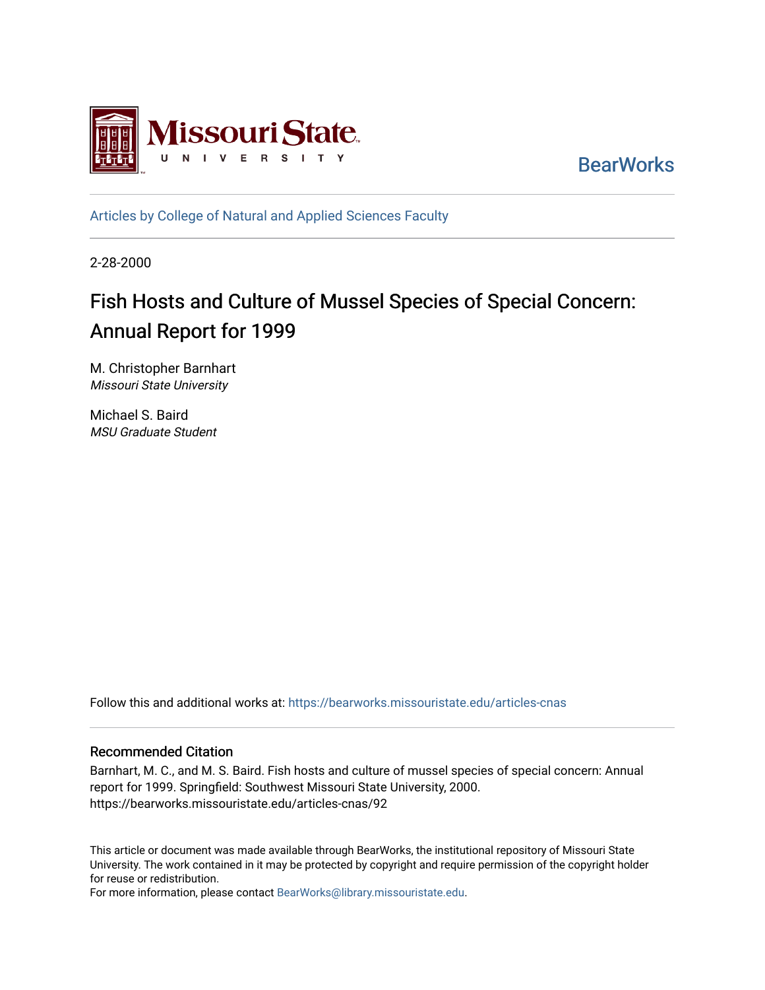

**BearWorks** 

[Articles by College of Natural and Applied Sciences Faculty](https://bearworks.missouristate.edu/articles-cnas)

2-28-2000

# Fish Hosts and Culture of Mussel Species of Special Concern: Annual Report for 1999

M. Christopher Barnhart Missouri State University

Michael S. Baird MSU Graduate Student

Follow this and additional works at: [https://bearworks.missouristate.edu/articles-cnas](https://bearworks.missouristate.edu/articles-cnas?utm_source=bearworks.missouristate.edu%2Farticles-cnas%2F92&utm_medium=PDF&utm_campaign=PDFCoverPages) 

# Recommended Citation

Barnhart, M. C., and M. S. Baird. Fish hosts and culture of mussel species of special concern: Annual report for 1999. Springfield: Southwest Missouri State University, 2000. https://bearworks.missouristate.edu/articles-cnas/92

This article or document was made available through BearWorks, the institutional repository of Missouri State University. The work contained in it may be protected by copyright and require permission of the copyright holder for reuse or redistribution.

For more information, please contact [BearWorks@library.missouristate.edu.](mailto:BearWorks@library.missouristate.edu)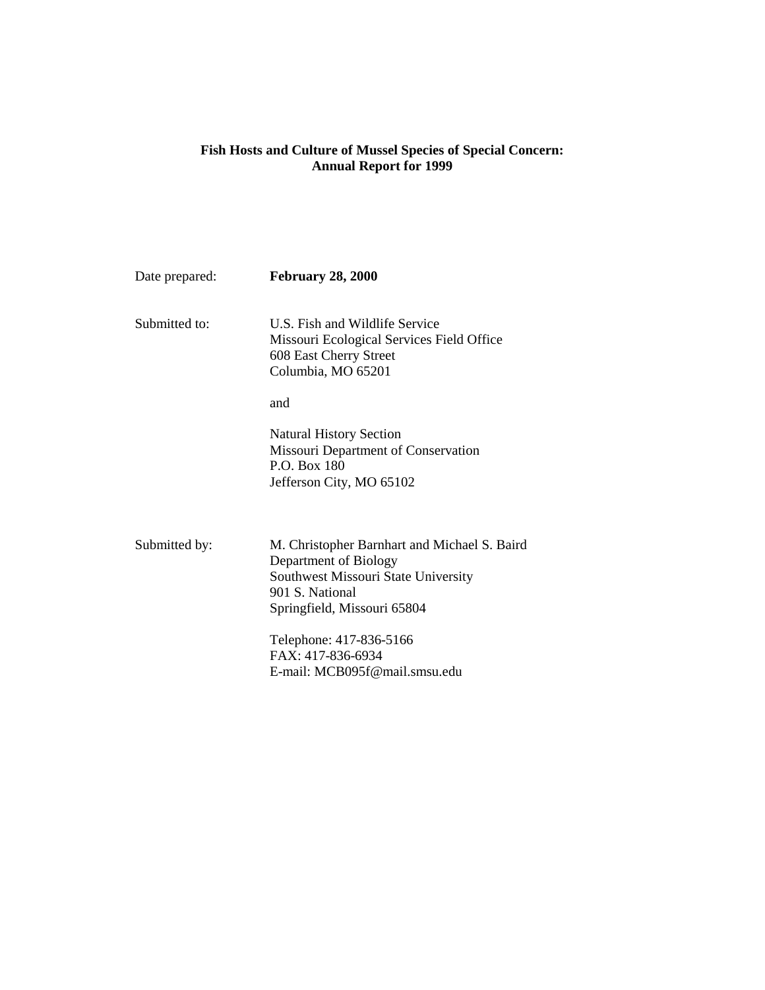## **Fish Hosts and Culture of Mussel Species of Special Concern: Annual Report for 1999**

| Date prepared: | <b>February 28, 2000</b>                                                                                                                                       |
|----------------|----------------------------------------------------------------------------------------------------------------------------------------------------------------|
| Submitted to:  | U.S. Fish and Wildlife Service<br>Missouri Ecological Services Field Office<br>608 East Cherry Street<br>Columbia, MO 65201                                    |
|                | and                                                                                                                                                            |
|                | <b>Natural History Section</b><br>Missouri Department of Conservation<br>P.O. Box 180<br>Jefferson City, MO 65102                                              |
| Submitted by:  | M. Christopher Barnhart and Michael S. Baird<br>Department of Biology<br>Southwest Missouri State University<br>901 S. National<br>Springfield, Missouri 65804 |
|                | Telephone: 417-836-5166<br>FAX: 417-836-6934<br>E-mail: MCB095f@mail.smsu.edu                                                                                  |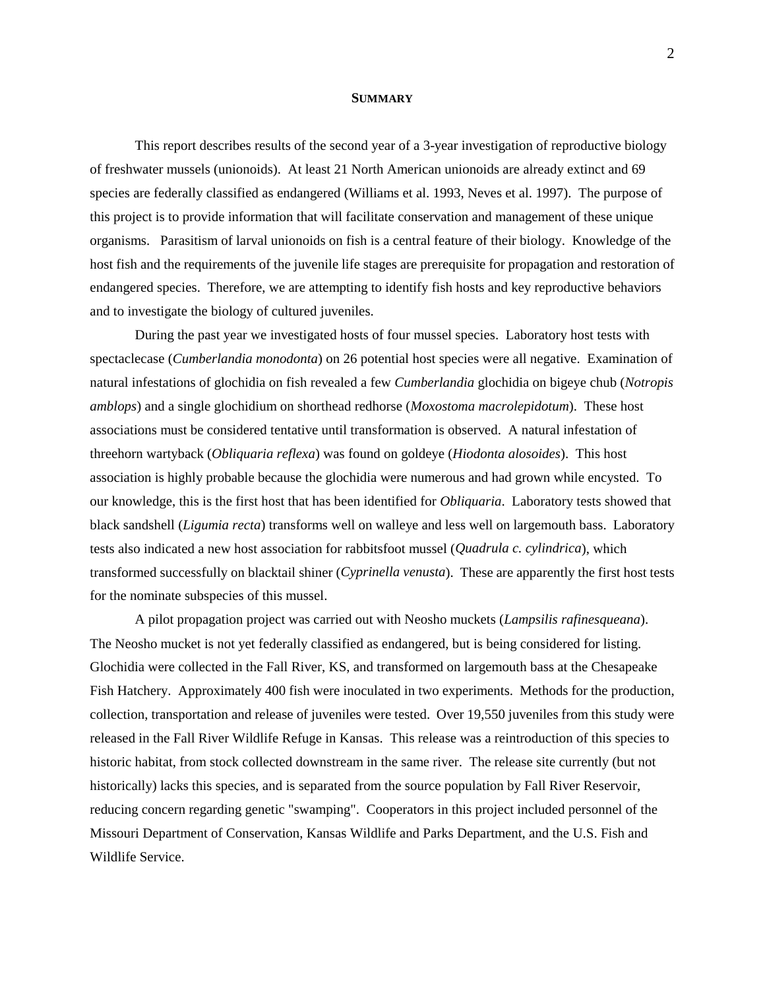#### **SUMMARY**

This report describes results of the second year of a 3-year investigation of reproductive biology of freshwater mussels (unionoids). At least 21 North American unionoids are already extinct and 69 species are federally classified as endangered (Williams et al. 1993, Neves et al. 1997). The purpose of this project is to provide information that will facilitate conservation and management of these unique organisms. Parasitism of larval unionoids on fish is a central feature of their biology. Knowledge of the host fish and the requirements of the juvenile life stages are prerequisite for propagation and restoration of endangered species. Therefore, we are attempting to identify fish hosts and key reproductive behaviors and to investigate the biology of cultured juveniles.

During the past year we investigated hosts of four mussel species. Laboratory host tests with spectaclecase (*Cumberlandia monodonta*) on 26 potential host species were all negative. Examination of natural infestations of glochidia on fish revealed a few *Cumberlandia* glochidia on bigeye chub (*Notropis amblops*) and a single glochidium on shorthead redhorse (*Moxostoma macrolepidotum*). These host associations must be considered tentative until transformation is observed. A natural infestation of threehorn wartyback (*Obliquaria reflexa*) was found on goldeye (*Hiodonta alosoides*). This host association is highly probable because the glochidia were numerous and had grown while encysted. To our knowledge, this is the first host that has been identified for *Obliquaria*. Laboratory tests showed that black sandshell (*Ligumia recta*) transforms well on walleye and less well on largemouth bass. Laboratory tests also indicated a new host association for rabbitsfoot mussel (*Quadrula c. cylindrica*), which transformed successfully on blacktail shiner (*Cyprinella venusta*). These are apparently the first host tests for the nominate subspecies of this mussel.

A pilot propagation project was carried out with Neosho muckets (*Lampsilis rafinesqueana*). The Neosho mucket is not yet federally classified as endangered, but is being considered for listing. Glochidia were collected in the Fall River, KS, and transformed on largemouth bass at the Chesapeake Fish Hatchery. Approximately 400 fish were inoculated in two experiments. Methods for the production, collection, transportation and release of juveniles were tested. Over 19,550 juveniles from this study were released in the Fall River Wildlife Refuge in Kansas. This release was a reintroduction of this species to historic habitat, from stock collected downstream in the same river. The release site currently (but not historically) lacks this species, and is separated from the source population by Fall River Reservoir, reducing concern regarding genetic "swamping". Cooperators in this project included personnel of the Missouri Department of Conservation, Kansas Wildlife and Parks Department, and the U.S. Fish and Wildlife Service.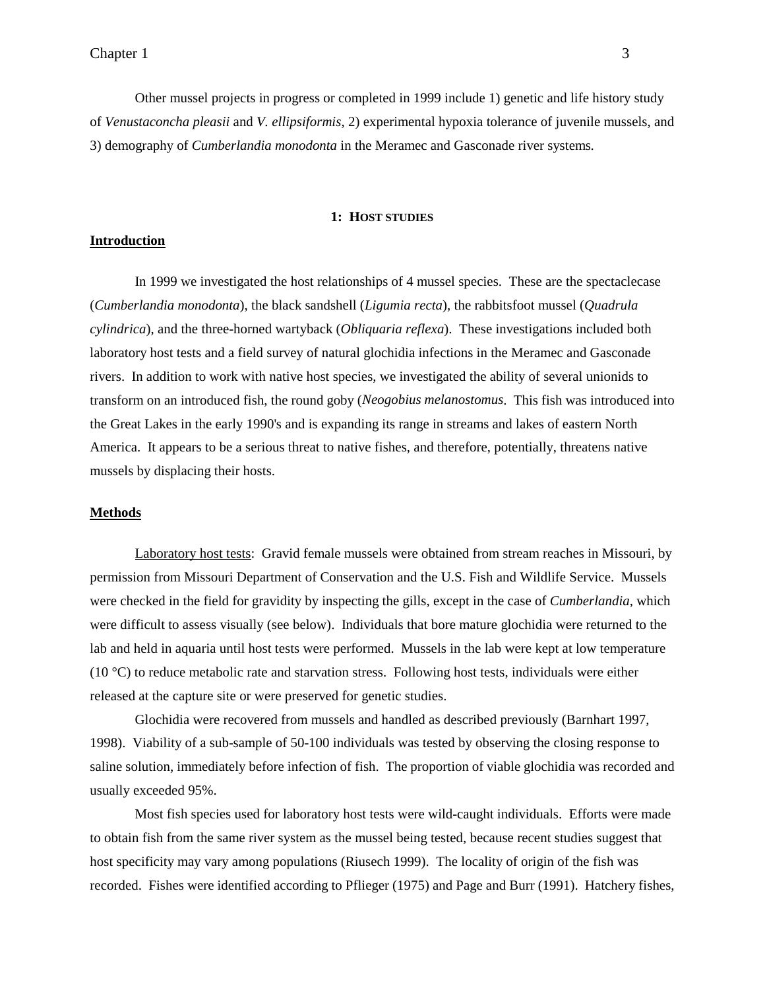Other mussel projects in progress or completed in 1999 include 1) genetic and life history study of *Venustaconcha pleasii* and *V. ellipsiformis*, 2) experimental hypoxia tolerance of juvenile mussels, and 3) demography of *Cumberlandia monodonta* in the Meramec and Gasconade river systems*.*

#### **1: HOST STUDIES**

#### **Introduction**

In 1999 we investigated the host relationships of 4 mussel species. These are the spectaclecase (*Cumberlandia monodonta*), the black sandshell (*Ligumia recta*), the rabbitsfoot mussel (*Quadrula cylindrica*), and the three-horned wartyback (*Obliquaria reflexa*). These investigations included both laboratory host tests and a field survey of natural glochidia infections in the Meramec and Gasconade rivers. In addition to work with native host species, we investigated the ability of several unionids to transform on an introduced fish, the round goby (*Neogobius melanostomus*. This fish was introduced into the Great Lakes in the early 1990's and is expanding its range in streams and lakes of eastern North America. It appears to be a serious threat to native fishes, and therefore, potentially, threatens native mussels by displacing their hosts.

#### **Methods**

Laboratory host tests: Gravid female mussels were obtained from stream reaches in Missouri, by permission from Missouri Department of Conservation and the U.S. Fish and Wildlife Service. Mussels were checked in the field for gravidity by inspecting the gills, except in the case of *Cumberlandia,* which were difficult to assess visually (see below).Individuals that bore mature glochidia were returned to the lab and held in aquaria until host tests were performed. Mussels in the lab were kept at low temperature (10 °C) to reduce metabolic rate and starvation stress. Following host tests, individuals were either released at the capture site or were preserved for genetic studies.

Glochidia were recovered from mussels and handled as described previously (Barnhart 1997, 1998). Viability of a sub-sample of 50-100 individuals was tested by observing the closing response to saline solution, immediately before infection of fish. The proportion of viable glochidia was recorded and usually exceeded 95%.

Most fish species used for laboratory host tests were wild-caught individuals. Efforts were made to obtain fish from the same river system as the mussel being tested, because recent studies suggest that host specificity may vary among populations (Riusech 1999). The locality of origin of the fish was recorded. Fishes were identified according to Pflieger (1975) and Page and Burr (1991). Hatchery fishes,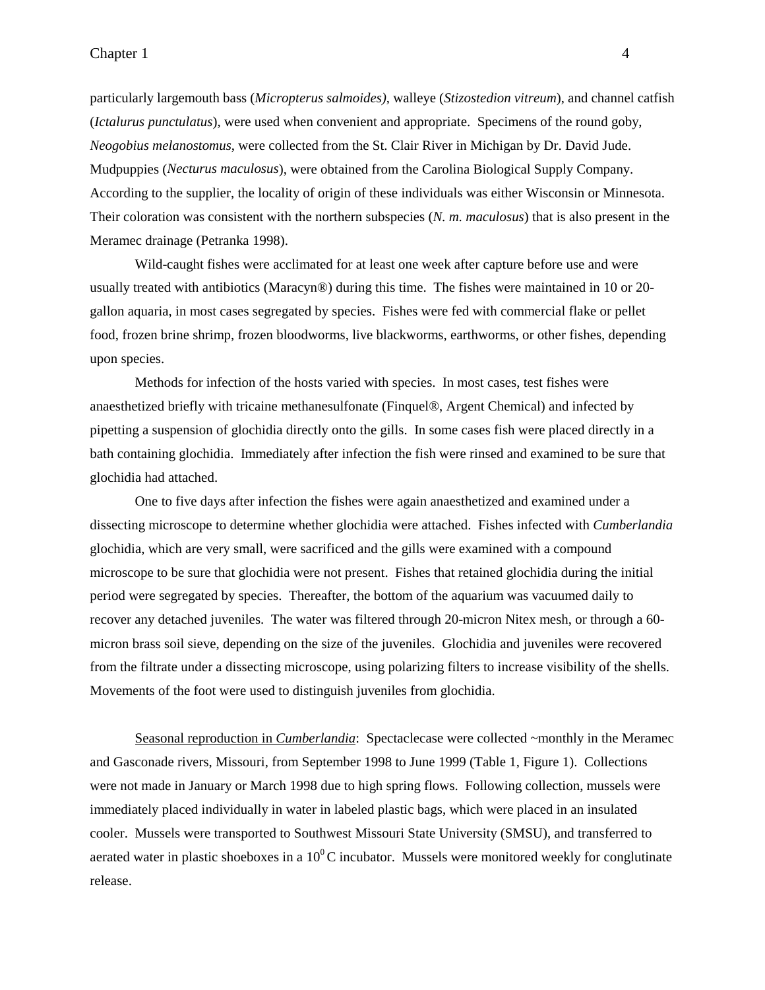particularly largemouth bass (*Micropterus salmoides)*, walleye (*Stizostedion vitreum*), and channel catfish (*Ictalurus punctulatus*), were used when convenient and appropriate. Specimens of the round goby, *Neogobius melanostomus*, were collected from the St. Clair River in Michigan by Dr. David Jude. Mudpuppies (*Necturus maculosus*), were obtained from the Carolina Biological Supply Company. According to the supplier, the locality of origin of these individuals was either Wisconsin or Minnesota. Their coloration was consistent with the northern subspecies (*N. m. maculosus*) that is also present in the Meramec drainage (Petranka 1998).

Wild-caught fishes were acclimated for at least one week after capture before use and were usually treated with antibiotics (Maracyn®) during this time. The fishes were maintained in 10 or 20 gallon aquaria, in most cases segregated by species. Fishes were fed with commercial flake or pellet food, frozen brine shrimp, frozen bloodworms, live blackworms, earthworms, or other fishes, depending upon species.

Methods for infection of the hosts varied with species. In most cases, test fishes were anaesthetized briefly with tricaine methanesulfonate (Finquel®, Argent Chemical) and infected by pipetting a suspension of glochidia directly onto the gills. In some cases fish were placed directly in a bath containing glochidia. Immediately after infection the fish were rinsed and examined to be sure that glochidia had attached.

One to five days after infection the fishes were again anaesthetized and examined under a dissecting microscope to determine whether glochidia were attached. Fishes infected with *Cumberlandia* glochidia, which are very small, were sacrificed and the gills were examined with a compound microscope to be sure that glochidia were not present. Fishes that retained glochidia during the initial period were segregated by species. Thereafter, the bottom of the aquarium was vacuumed daily to recover any detached juveniles. The water was filtered through 20-micron Nitex mesh, or through a 60 micron brass soil sieve, depending on the size of the juveniles. Glochidia and juveniles were recovered from the filtrate under a dissecting microscope, using polarizing filters to increase visibility of the shells. Movements of the foot were used to distinguish juveniles from glochidia.

Seasonal reproduction in *Cumberlandia*: Spectaclecase were collected ~monthly in the Meramec and Gasconade rivers, Missouri, from September 1998 to June 1999 (Table 1, Figure 1). Collections were not made in January or March 1998 due to high spring flows. Following collection, mussels were immediately placed individually in water in labeled plastic bags, which were placed in an insulated cooler. Mussels were transported to Southwest Missouri State University (SMSU), and transferred to aerated water in plastic shoeboxes in a  $10^{0}$ C incubator. Mussels were monitored weekly for conglutinate release.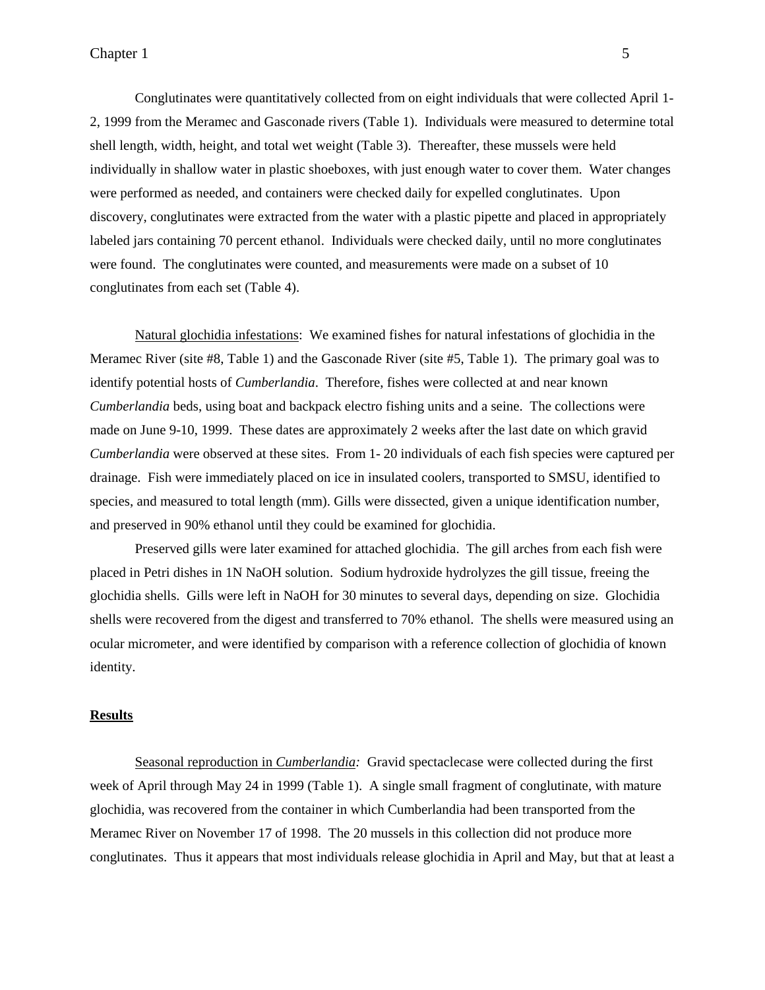Conglutinates were quantitatively collected from on eight individuals that were collected April 1- 2, 1999 from the Meramec and Gasconade rivers (Table 1). Individuals were measured to determine total shell length, width, height, and total wet weight (Table 3). Thereafter, these mussels were held individually in shallow water in plastic shoeboxes, with just enough water to cover them. Water changes were performed as needed, and containers were checked daily for expelled conglutinates. Upon discovery, conglutinates were extracted from the water with a plastic pipette and placed in appropriately labeled jars containing 70 percent ethanol. Individuals were checked daily, until no more conglutinates were found. The conglutinates were counted, and measurements were made on a subset of 10 conglutinates from each set (Table 4).

 Natural glochidia infestations: We examined fishes for natural infestations of glochidia in the Meramec River (site #8, Table 1) and the Gasconade River (site #5, Table 1). The primary goal was to identify potential hosts of *Cumberlandia*. Therefore, fishes were collected at and near known *Cumberlandia* beds, using boat and backpack electro fishing units and a seine. The collections were made on June 9-10, 1999. These dates are approximately 2 weeks after the last date on which gravid *Cumberlandia* were observed at these sites. From 1- 20 individuals of each fish species were captured per drainage. Fish were immediately placed on ice in insulated coolers, transported to SMSU, identified to species, and measured to total length (mm). Gills were dissected, given a unique identification number, and preserved in 90% ethanol until they could be examined for glochidia.

 Preserved gills were later examined for attached glochidia. The gill arches from each fish were placed in Petri dishes in 1N NaOH solution. Sodium hydroxide hydrolyzes the gill tissue, freeing the glochidia shells. Gills were left in NaOH for 30 minutes to several days, depending on size. Glochidia shells were recovered from the digest and transferred to 70% ethanol. The shells were measured using an ocular micrometer, and were identified by comparison with a reference collection of glochidia of known identity.

# **Results**

Seasonal reproduction in *Cumberlandia:* Gravid spectaclecase were collected during the first week of April through May 24 in 1999 (Table 1). A single small fragment of conglutinate, with mature glochidia, was recovered from the container in which Cumberlandia had been transported from the Meramec River on November 17 of 1998. The 20 mussels in this collection did not produce more conglutinates. Thus it appears that most individuals release glochidia in April and May, but that at least a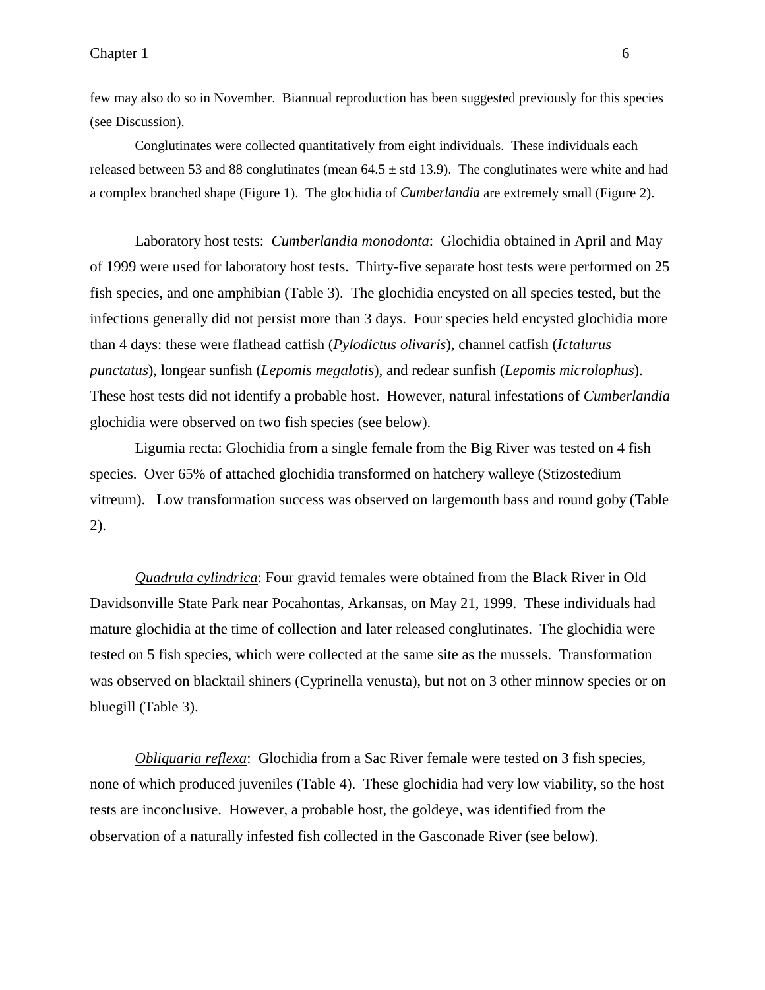few may also do so in November. Biannual reproduction has been suggested previously for this species (see Discussion).

Conglutinates were collected quantitatively from eight individuals. These individuals each released between 53 and 88 conglutinates (mean  $64.5 \pm$  std 13.9). The conglutinates were white and had a complex branched shape (Figure 1). The glochidia of *Cumberlandia* are extremely small (Figure 2).

Laboratory host tests: *Cumberlandia monodonta*: Glochidia obtained in April and May of 1999 were used for laboratory host tests. Thirty-five separate host tests were performed on 25 fish species, and one amphibian (Table 3). The glochidia encysted on all species tested, but the infections generally did not persist more than 3 days. Four species held encysted glochidia more than 4 days: these were flathead catfish (*Pylodictus olivaris*), channel catfish (*Ictalurus punctatus*), longear sunfish (*Lepomis megalotis*), and redear sunfish (*Lepomis microlophus*). These host tests did not identify a probable host. However, natural infestations of *Cumberlandia* glochidia were observed on two fish species (see below).

Ligumia recta: Glochidia from a single female from the Big River was tested on 4 fish species. Over 65% of attached glochidia transformed on hatchery walleye (Stizostedium vitreum). Low transformation success was observed on largemouth bass and round goby (Table 2).

*Quadrula cylindrica*: Four gravid females were obtained from the Black River in Old Davidsonville State Park near Pocahontas, Arkansas, on May 21, 1999. These individuals had mature glochidia at the time of collection and later released conglutinates. The glochidia were tested on 5 fish species, which were collected at the same site as the mussels. Transformation was observed on blacktail shiners (Cyprinella venusta), but not on 3 other minnow species or on bluegill (Table 3).

*Obliquaria reflexa*: Glochidia from a Sac River female were tested on 3 fish species, none of which produced juveniles (Table 4). These glochidia had very low viability, so the host tests are inconclusive. However, a probable host, the goldeye, was identified from the observation of a naturally infested fish collected in the Gasconade River (see below).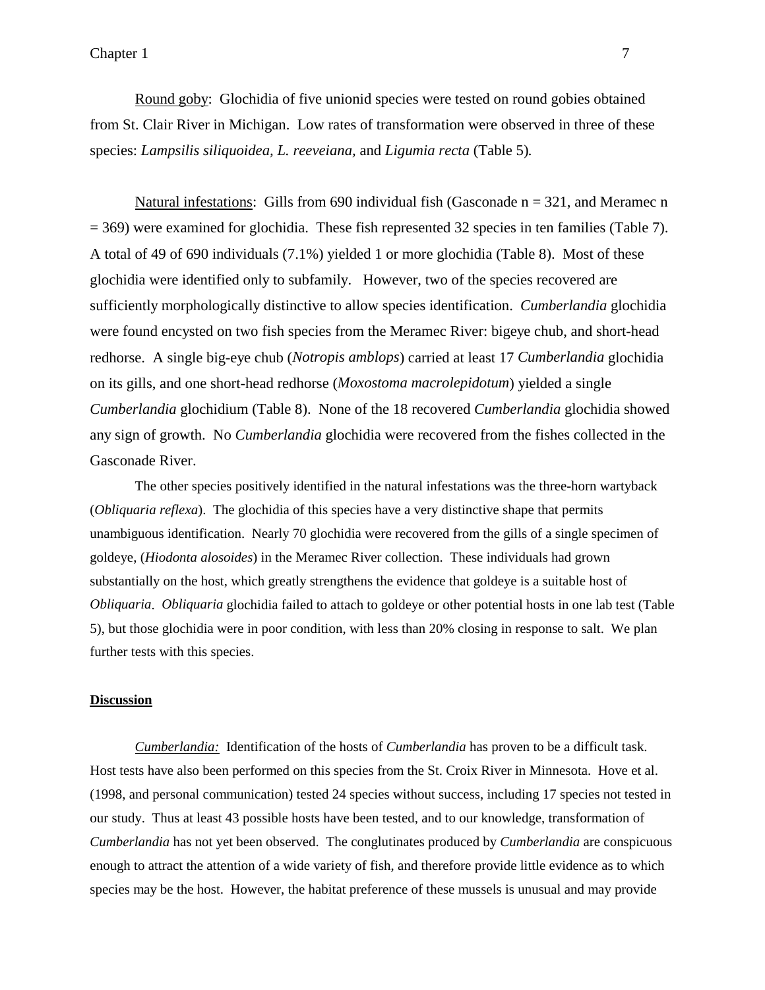Round goby: Glochidia of five unionid species were tested on round gobies obtained from St. Clair River in Michigan. Low rates of transformation were observed in three of these species: *Lampsilis siliquoidea, L. reeveiana,* and *Ligumia recta* (Table 5)*.*

Natural infestations: Gills from 690 individual fish (Gasconade  $n = 321$ , and Meramec n  $= 369$ ) were examined for glochidia. These fish represented 32 species in ten families (Table 7). A total of 49 of 690 individuals (7.1%) yielded 1 or more glochidia (Table 8). Most of these glochidia were identified only to subfamily. However, two of the species recovered are sufficiently morphologically distinctive to allow species identification. *Cumberlandia* glochidia were found encysted on two fish species from the Meramec River: bigeye chub, and short-head redhorse. A single big-eye chub (*Notropis amblops*) carried at least 17 *Cumberlandia* glochidia on its gills, and one short-head redhorse (*Moxostoma macrolepidotum*) yielded a single *Cumberlandia* glochidium (Table 8). None of the 18 recovered *Cumberlandia* glochidia showed any sign of growth. No *Cumberlandia* glochidia were recovered from the fishes collected in the Gasconade River.

The other species positively identified in the natural infestations was the three-horn wartyback (*Obliquaria reflexa*). The glochidia of this species have a very distinctive shape that permits unambiguous identification. Nearly 70 glochidia were recovered from the gills of a single specimen of goldeye, (*Hiodonta alosoides*) in the Meramec River collection. These individuals had grown substantially on the host, which greatly strengthens the evidence that goldeye is a suitable host of *Obliquaria*. *Obliquaria* glochidia failed to attach to goldeye or other potential hosts in one lab test (Table 5), but those glochidia were in poor condition, with less than 20% closing in response to salt. We plan further tests with this species.

#### **Discussion**

*Cumberlandia:* Identification of the hosts of *Cumberlandia* has proven to be a difficult task. Host tests have also been performed on this species from the St. Croix River in Minnesota. Hove et al. (1998, and personal communication) tested 24 species without success, including 17 species not tested in our study. Thus at least 43 possible hosts have been tested, and to our knowledge, transformation of *Cumberlandia* has not yet been observed. The conglutinates produced by *Cumberlandia* are conspicuous enough to attract the attention of a wide variety of fish, and therefore provide little evidence as to which species may be the host. However, the habitat preference of these mussels is unusual and may provide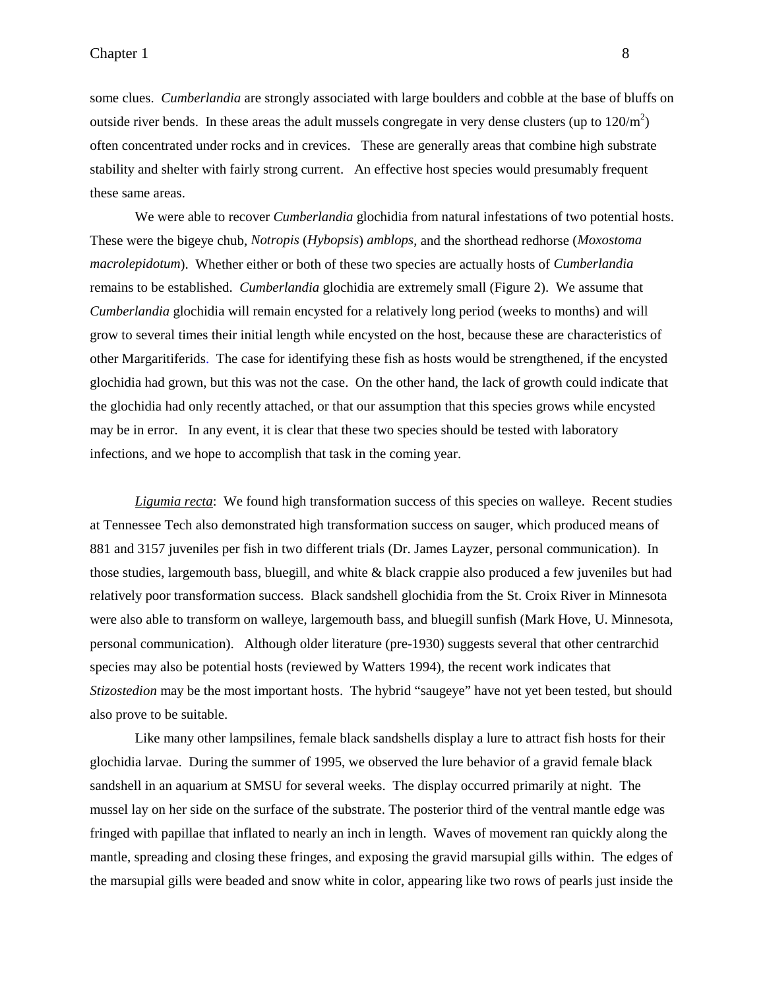some clues. *Cumberlandia* are strongly associated with large boulders and cobble at the base of bluffs on outside river bends. In these areas the adult mussels congregate in very dense clusters (up to  $120/m^2$ ) often concentrated under rocks and in crevices. These are generally areas that combine high substrate stability and shelter with fairly strong current. An effective host species would presumably frequent these same areas.

We were able to recover *Cumberlandia* glochidia from natural infestations of two potential hosts. These were the bigeye chub, *Notropis* (*Hybopsis*) *amblops*, and the shorthead redhorse (*Moxostoma macrolepidotum*). Whether either or both of these two species are actually hosts of *Cumberlandia* remains to be established. *Cumberlandia* glochidia are extremely small (Figure 2). We assume that *Cumberlandia* glochidia will remain encysted for a relatively long period (weeks to months) and will grow to several times their initial length while encysted on the host, because these are characteristics of other Margaritiferids. The case for identifying these fish as hosts would be strengthened, if the encysted glochidia had grown, but this was not the case. On the other hand, the lack of growth could indicate that the glochidia had only recently attached, or that our assumption that this species grows while encysted may be in error. In any event, it is clear that these two species should be tested with laboratory infections, and we hope to accomplish that task in the coming year.

*Ligumia recta*: We found high transformation success of this species on walleye. Recent studies at Tennessee Tech also demonstrated high transformation success on sauger, which produced means of 881 and 3157 juveniles per fish in two different trials (Dr. James Layzer, personal communication). In those studies, largemouth bass, bluegill, and white & black crappie also produced a few juveniles but had relatively poor transformation success. Black sandshell glochidia from the St. Croix River in Minnesota were also able to transform on walleye, largemouth bass, and bluegill sunfish (Mark Hove, U. Minnesota, personal communication). Although older literature (pre-1930) suggests several that other centrarchid species may also be potential hosts (reviewed by Watters 1994), the recent work indicates that *Stizostedion* may be the most important hosts. The hybrid "saugeye" have not yet been tested, but should also prove to be suitable.

Like many other lampsilines, female black sandshells display a lure to attract fish hosts for their glochidia larvae. During the summer of 1995, we observed the lure behavior of a gravid female black sandshell in an aquarium at SMSU for several weeks. The display occurred primarily at night. The mussel lay on her side on the surface of the substrate. The posterior third of the ventral mantle edge was fringed with papillae that inflated to nearly an inch in length. Waves of movement ran quickly along the mantle, spreading and closing these fringes, and exposing the gravid marsupial gills within. The edges of the marsupial gills were beaded and snow white in color, appearing like two rows of pearls just inside the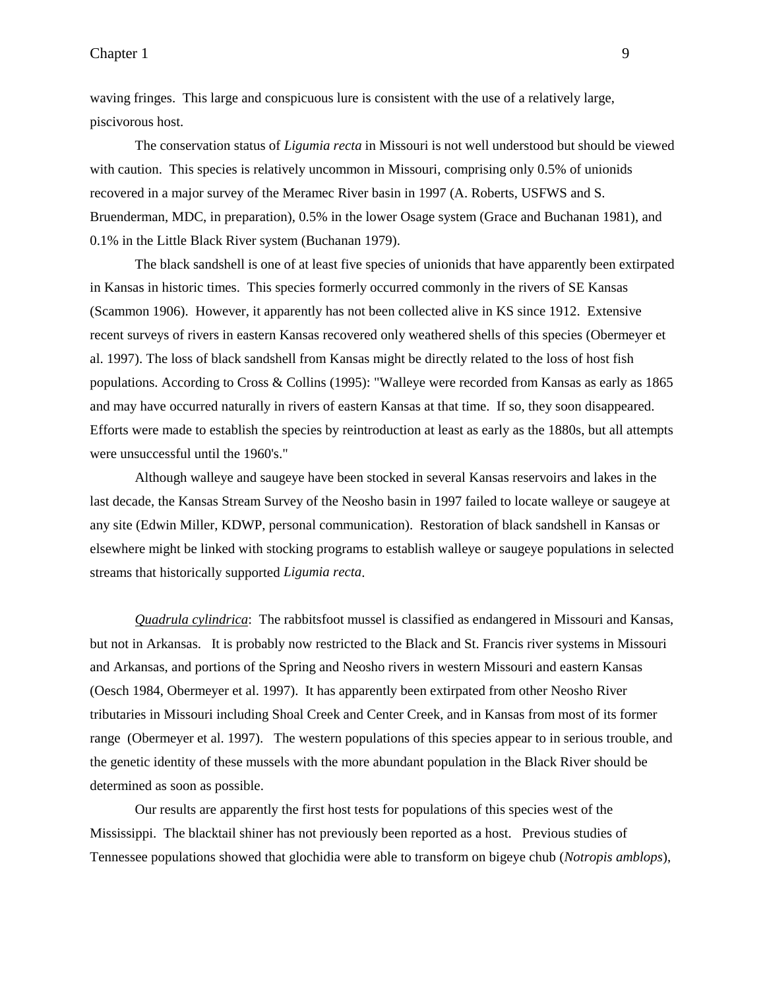waving fringes. This large and conspicuous lure is consistent with the use of a relatively large, piscivorous host.

The conservation status of *Ligumia recta* in Missouri is not well understood but should be viewed with caution. This species is relatively uncommon in Missouri, comprising only 0.5% of unionids recovered in a major survey of the Meramec River basin in 1997 (A. Roberts, USFWS and S. Bruenderman, MDC, in preparation), 0.5% in the lower Osage system (Grace and Buchanan 1981), and 0.1% in the Little Black River system (Buchanan 1979).

The black sandshell is one of at least five species of unionids that have apparently been extirpated in Kansas in historic times. This species formerly occurred commonly in the rivers of SE Kansas (Scammon 1906). However, it apparently has not been collected alive in KS since 1912. Extensive recent surveys of rivers in eastern Kansas recovered only weathered shells of this species (Obermeyer et al. 1997). The loss of black sandshell from Kansas might be directly related to the loss of host fish populations. According to Cross & Collins (1995): "Walleye were recorded from Kansas as early as 1865 and may have occurred naturally in rivers of eastern Kansas at that time. If so, they soon disappeared. Efforts were made to establish the species by reintroduction at least as early as the 1880s, but all attempts were unsuccessful until the 1960's."

Although walleye and saugeye have been stocked in several Kansas reservoirs and lakes in the last decade, the Kansas Stream Survey of the Neosho basin in 1997 failed to locate walleye or saugeye at any site (Edwin Miller, KDWP, personal communication). Restoration of black sandshell in Kansas or elsewhere might be linked with stocking programs to establish walleye or saugeye populations in selected streams that historically supported *Ligumia recta*.

*Quadrula cylindrica*: The rabbitsfoot mussel is classified as endangered in Missouri and Kansas, but not in Arkansas. It is probably now restricted to the Black and St. Francis river systems in Missouri and Arkansas, and portions of the Spring and Neosho rivers in western Missouri and eastern Kansas (Oesch 1984, Obermeyer et al. 1997). It has apparently been extirpated from other Neosho River tributaries in Missouri including Shoal Creek and Center Creek, and in Kansas from most of its former range (Obermeyer et al. 1997). The western populations of this species appear to in serious trouble, and the genetic identity of these mussels with the more abundant population in the Black River should be determined as soon as possible.

Our results are apparently the first host tests for populations of this species west of the Mississippi. The blacktail shiner has not previously been reported as a host. Previous studies of Tennessee populations showed that glochidia were able to transform on bigeye chub (*Notropis amblops*),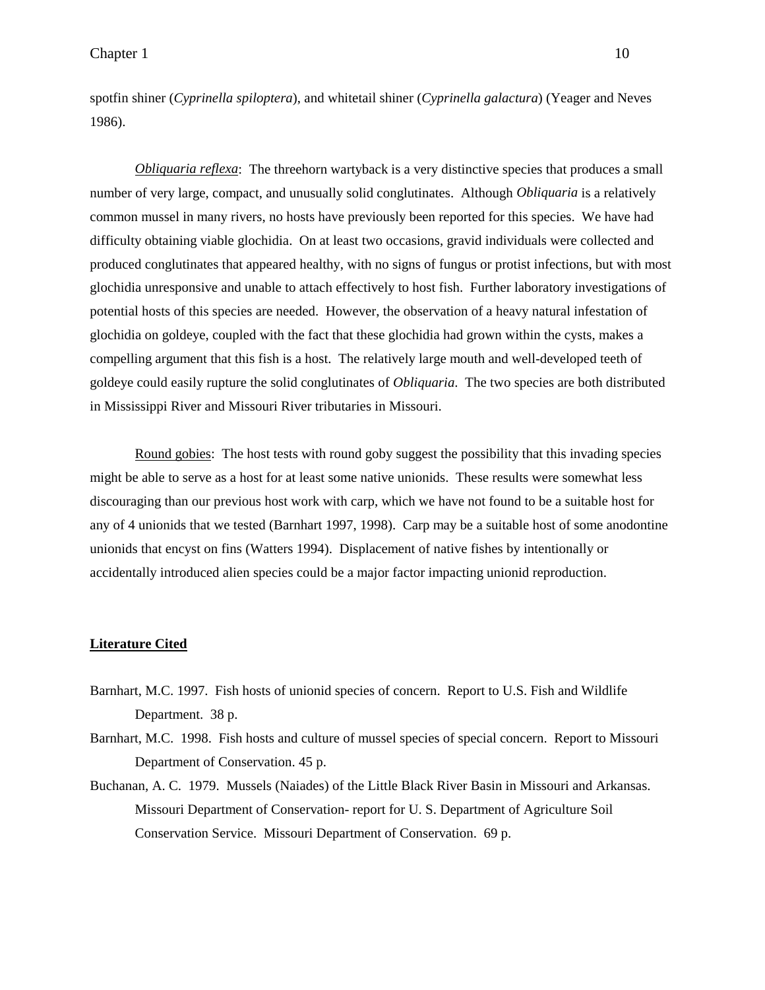spotfin shiner (*Cyprinella spiloptera*), and whitetail shiner (*Cyprinella galactura*) (Yeager and Neves 1986).

*Obliquaria reflexa*: The threehorn wartyback is a very distinctive species that produces a small number of very large, compact, and unusually solid conglutinates. Although *Obliquaria* is a relatively common mussel in many rivers, no hosts have previously been reported for this species. We have had difficulty obtaining viable glochidia. On at least two occasions, gravid individuals were collected and produced conglutinates that appeared healthy, with no signs of fungus or protist infections, but with most glochidia unresponsive and unable to attach effectively to host fish. Further laboratory investigations of potential hosts of this species are needed. However, the observation of a heavy natural infestation of glochidia on goldeye, coupled with the fact that these glochidia had grown within the cysts, makes a compelling argument that this fish is a host. The relatively large mouth and well-developed teeth of goldeye could easily rupture the solid conglutinates of *Obliquaria*. The two species are both distributed in Mississippi River and Missouri River tributaries in Missouri.

Round gobies: The host tests with round goby suggest the possibility that this invading species might be able to serve as a host for at least some native unionids. These results were somewhat less discouraging than our previous host work with carp, which we have not found to be a suitable host for any of 4 unionids that we tested (Barnhart 1997, 1998). Carp may be a suitable host of some anodontine unionids that encyst on fins (Watters 1994). Displacement of native fishes by intentionally or accidentally introduced alien species could be a major factor impacting unionid reproduction.

#### **Literature Cited**

- Barnhart, M.C. 1997. Fish hosts of unionid species of concern. Report to U.S. Fish and Wildlife Department. 38 p.
- Barnhart, M.C. 1998. Fish hosts and culture of mussel species of special concern. Report to Missouri Department of Conservation. 45 p.
- Buchanan, A. C. 1979. Mussels (Naiades) of the Little Black River Basin in Missouri and Arkansas. Missouri Department of Conservation- report for U. S. Department of Agriculture Soil Conservation Service. Missouri Department of Conservation. 69 p.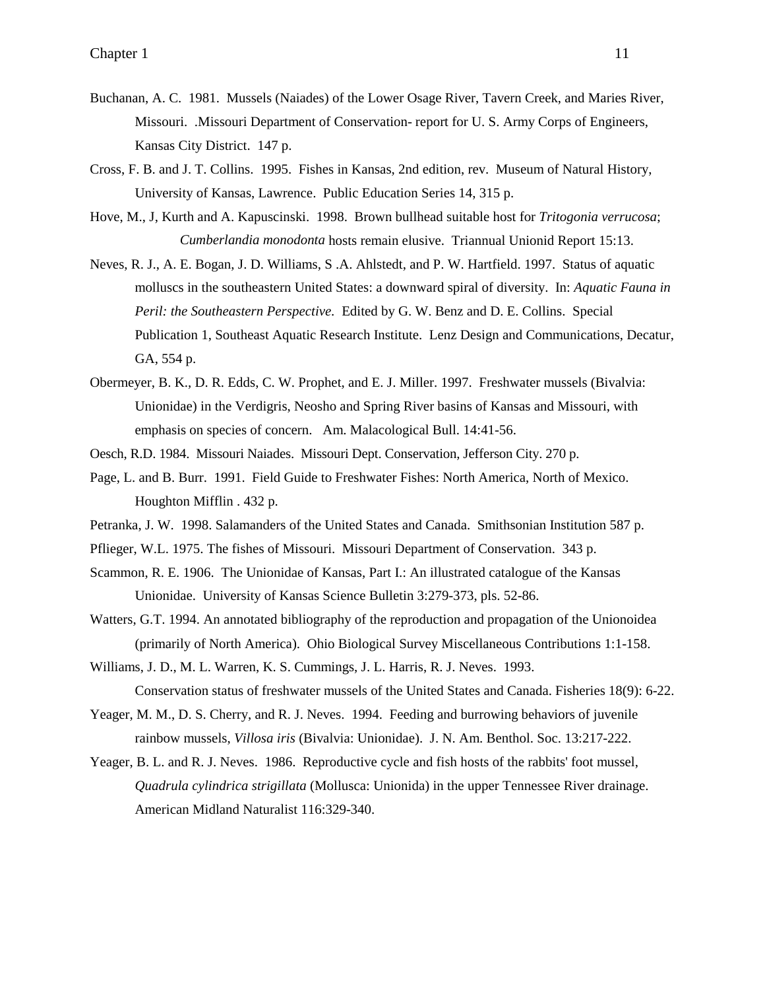- Buchanan, A. C. 1981. Mussels (Naiades) of the Lower Osage River, Tavern Creek, and Maries River, Missouri. .Missouri Department of Conservation- report for U. S. Army Corps of Engineers, Kansas City District. 147 p.
- Cross, F. B. and J. T. Collins. 1995. Fishes in Kansas, 2nd edition, rev. Museum of Natural History, University of Kansas, Lawrence. Public Education Series 14, 315 p.
- Hove, M., J, Kurth and A. Kapuscinski. 1998. Brown bullhead suitable host for *Tritogonia verrucosa*; *Cumberlandia monodonta* hosts remain elusive. Triannual Unionid Report 15:13.
- Neves, R. J., A. E. Bogan, J. D. Williams, S .A. Ahlstedt, and P. W. Hartfield. 1997. Status of aquatic molluscs in the southeastern United States: a downward spiral of diversity. In: *Aquatic Fauna in Peril: the Southeastern Perspective.* Edited by G. W. Benz and D. E. Collins. Special Publication 1, Southeast Aquatic Research Institute. Lenz Design and Communications, Decatur, GA, 554 p.
- Obermeyer, B. K., D. R. Edds, C. W. Prophet, and E. J. Miller. 1997. Freshwater mussels (Bivalvia: Unionidae) in the Verdigris, Neosho and Spring River basins of Kansas and Missouri, with emphasis on species of concern. Am. Malacological Bull. 14:41-56.
- Oesch, R.D. 1984. Missouri Naiades. Missouri Dept. Conservation, Jefferson City. 270 p.
- Page, L. and B. Burr. 1991. Field Guide to Freshwater Fishes: North America, North of Mexico. Houghton Mifflin . 432 p.
- Petranka, J. W. 1998. Salamanders of the United States and Canada. Smithsonian Institution 587 p.
- Pflieger, W.L. 1975. The fishes of Missouri. Missouri Department of Conservation. 343 p.
- Scammon, R. E. 1906. The Unionidae of Kansas, Part I.: An illustrated catalogue of the Kansas Unionidae. University of Kansas Science Bulletin 3:279-373, pls. 52-86.
- Watters, G.T. 1994. An annotated bibliography of the reproduction and propagation of the Unionoidea (primarily of North America). Ohio Biological Survey Miscellaneous Contributions 1:1-158.
- Williams, J. D., M. L. Warren, K. S. Cummings, J. L. Harris, R. J. Neves. 1993. Conservation status of freshwater mussels of the United States and Canada. Fisheries 18(9): 6-22.
- Yeager, M. M., D. S. Cherry, and R. J. Neves. 1994. Feeding and burrowing behaviors of juvenile rainbow mussels, *Villosa iris* (Bivalvia: Unionidae). J. N. Am. Benthol. Soc. 13:217-222.
- Yeager, B. L. and R. J. Neves. 1986. Reproductive cycle and fish hosts of the rabbits' foot mussel, *Quadrula cylindrica strigillata* (Mollusca: Unionida) in the upper Tennessee River drainage. American Midland Naturalist 116:329-340.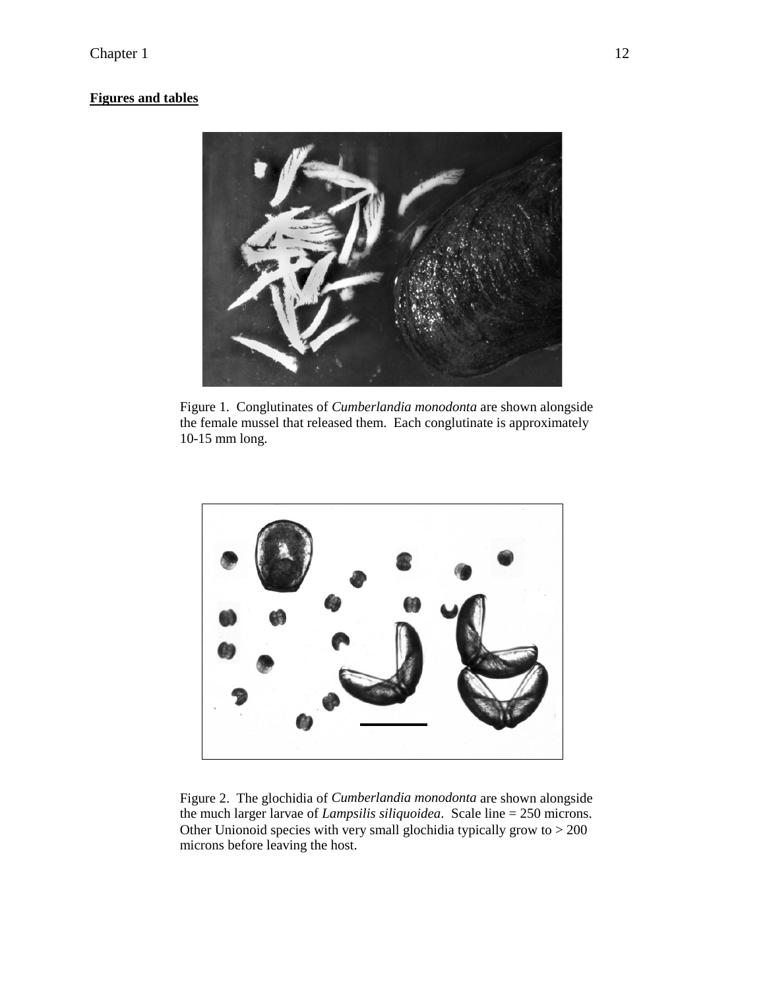# **Figures and tables**



Figure 1. Conglutinates of *Cumberlandia monodonta* are shown alongside the female mussel that released them. Each conglutinate is approximately 10-15 mm long.



Figure 2. The glochidia of *Cumberlandia monodonta* are shown alongside the much larger larvae of *Lampsilis siliquoidea*. Scale line = 250 microns. Other Unionoid species with very small glochidia typically grow to > 200 microns before leaving the host.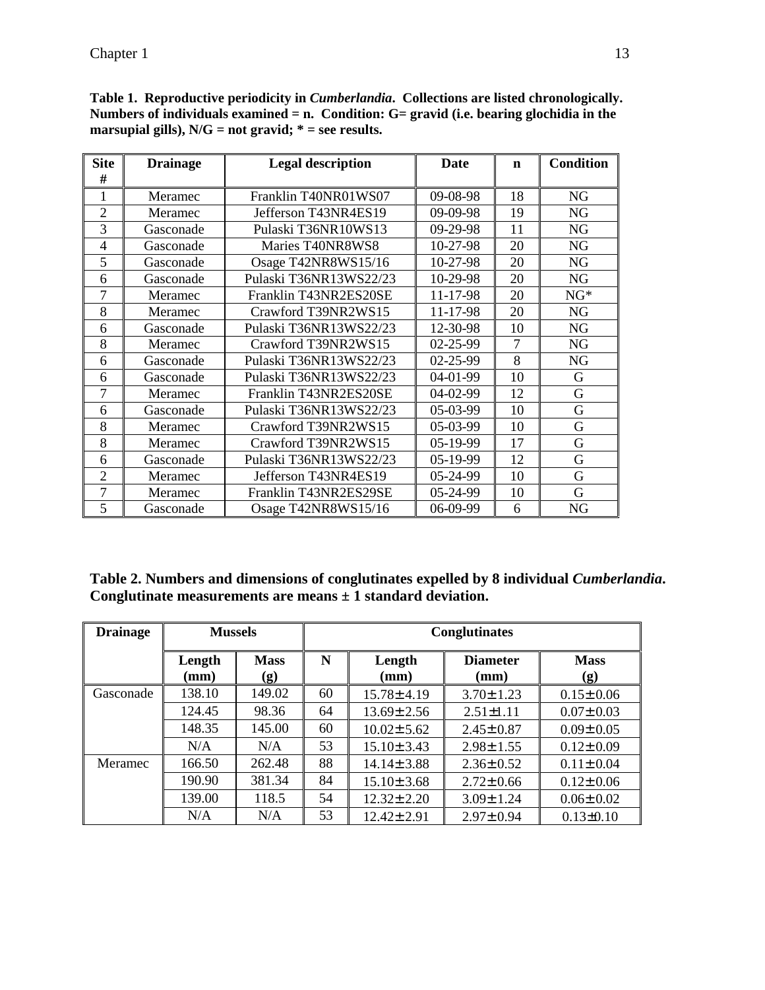| <b>Site</b><br># | <b>Drainage</b> | <b>Legal description</b> | <b>Date</b>    | $\mathbf n$ | <b>Condition</b> |
|------------------|-----------------|--------------------------|----------------|-------------|------------------|
| 1                | Meramec         | Franklin T40NR01WS07     | 09-08-98       | 18          | <b>NG</b>        |
| $\overline{2}$   | Meramec         | Jefferson T43NR4ES19     | 09-09-98       | 19          | NG               |
| 3                | Gasconade       | Pulaski T36NR10WS13      | $09-29-98$     | 11          | <b>NG</b>        |
| $\overline{4}$   | Gasconade       | Maries T40NR8WS8         | 10-27-98       | 20          | NG               |
| 5                | Gasconade       | Osage T42NR8WS15/16      | 10-27-98       | 20          | NG               |
| 6                | Gasconade       | Pulaski T36NR13WS22/23   | 10-29-98       | 20          | <b>NG</b>        |
| $\overline{7}$   | Meramec         | Franklin T43NR2ES20SE    | 11-17-98       | 20          | $NG*$            |
| 8                | Meramec         | Crawford T39NR2WS15      | 11-17-98       | 20          | NG               |
| 6                | Gasconade       | Pulaski T36NR13WS22/23   | 12-30-98       | 10          | NG               |
| 8                | Meramec         | Crawford T39NR2WS15      | $02 - 25 - 99$ | 7           | <b>NG</b>        |
| 6                | Gasconade       | Pulaski T36NR13WS22/23   | $02 - 25 - 99$ | 8           | NG               |
| 6                | Gasconade       | Pulaski T36NR13WS22/23   | 04-01-99       | 10          | G                |
| $\overline{7}$   | Meramec         | Franklin T43NR2ES20SE    | $04 - 02 - 99$ | 12          | G                |
| 6                | Gasconade       | Pulaski T36NR13WS22/23   | 05-03-99       | 10          | G                |
| 8                | Meramec         | Crawford T39NR2WS15      | 05-03-99       | 10          | G                |
| 8                | Meramec         | Crawford T39NR2WS15      | 05-19-99       | 17          | G                |
| 6                | Gasconade       | Pulaski T36NR13WS22/23   | 05-19-99       | 12          | G                |
| $\overline{2}$   | Meramec         | Jefferson T43NR4ES19     | 05-24-99       | 10          | G                |
| $\overline{7}$   | Meramec         | Franklin T43NR2ES29SE    | 05-24-99       | 10          | G                |
| 5                | Gasconade       | Osage T42NR8WS15/16      | 06-09-99       | 6           | NG               |

**Table 1. Reproductive periodicity in** *Cumberlandia***. Collections are listed chronologically. Numbers of individuals examined = n. Condition: G= gravid (i.e. bearing glochidia in the marsupial gills), N/G = not gravid; \* = see results.** 

**Table 2. Numbers and dimensions of conglutinates expelled by 8 individual** *Cumberlandia***. Conglutinate measurements are means ± 1 standard deviation.** 

| <b>Drainage</b> | <b>Mussels</b> |                    | <b>Conglutinates</b> |                  |                                    |                    |  |  |
|-----------------|----------------|--------------------|----------------------|------------------|------------------------------------|--------------------|--|--|
|                 | Length<br>(mm) | <b>Mass</b><br>(g) | N                    | Length<br>(mm)   | <b>Diameter</b><br>$(\mathbf{mm})$ | <b>Mass</b><br>(g) |  |  |
| Gasconade       | 138.10         | 149.02             | 60                   | $15.78 \pm 4.19$ | $3.70 \pm 1.23$                    | $0.15 \pm 0.06$    |  |  |
|                 | 124.45         | 98.36              | 64                   | $13.69 \pm 2.56$ | $2.51 \pm 1.11$                    | $0.07 \pm 0.03$    |  |  |
|                 | 148.35         | 145.00             | 60                   | $10.02 \pm 5.62$ | $2.45 \pm 0.87$                    | $0.09 \pm 0.05$    |  |  |
|                 | N/A            | N/A                | 53                   | $15.10 \pm 3.43$ | $2.98 \pm 1.55$                    | $0.12 \pm 0.09$    |  |  |
| Meramec         | 166.50         | 262.48             | 88                   | $14.14 \pm 3.88$ | $2.36 \pm 0.52$                    | $0.11 \pm 0.04$    |  |  |
|                 | 190.90         | 381.34             | 84                   | $15.10 \pm 3.68$ | $2.72 \pm 0.66$                    | $0.12 \pm 0.06$    |  |  |
|                 | 139.00         | 118.5              | 54                   | $12.32 \pm 2.20$ | $3.09 \pm 1.24$                    | $0.06 \pm 0.02$    |  |  |
|                 | N/A            | N/A                | 53                   | $12.42 \pm 2.91$ | $2.97 \pm 0.94$                    | $0.13 \pm 0.10$    |  |  |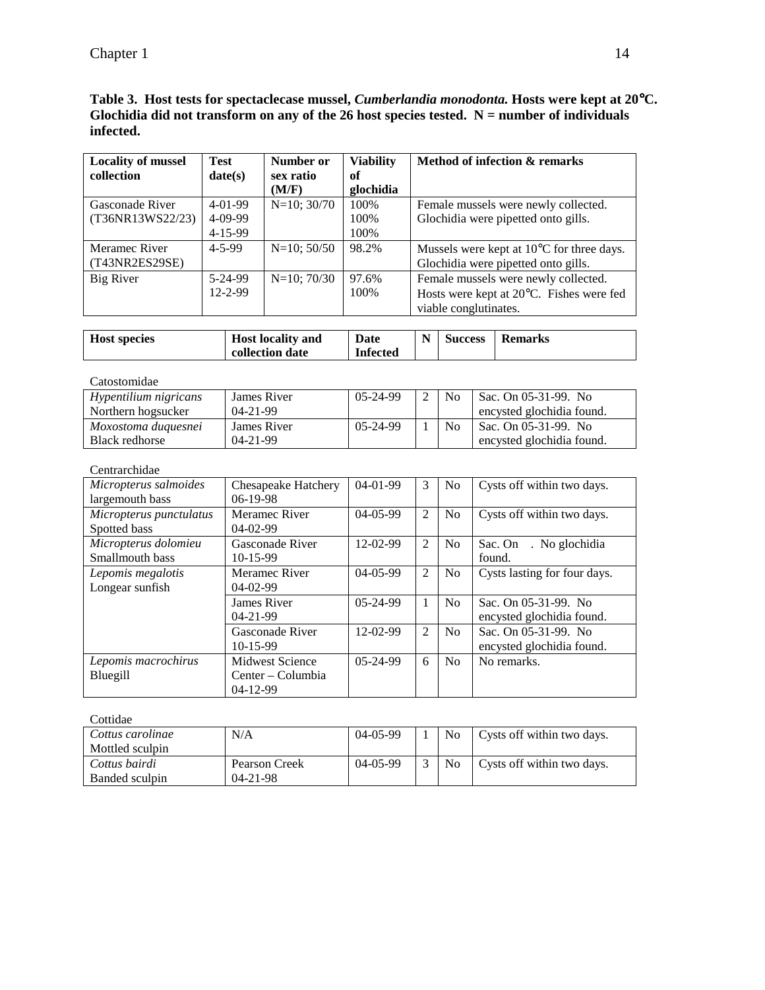| Table 3. Host tests for spectaclecase mussel, <i>Cumberlandia monodonta</i> . Hosts were kept at 20°C. |
|--------------------------------------------------------------------------------------------------------|
| Glochidia did not transform on any of the 26 host species tested. $N =$ number of individuals          |
| infected.                                                                                              |

| <b>Locality of mussel</b> | Test          | Number or        | <b>Viability</b> | Method of infection & remarks                       |
|---------------------------|---------------|------------------|------------------|-----------------------------------------------------|
| collection                | date(s)       | sex ratio        | of               |                                                     |
|                           |               | (M/F)            | glochidia        |                                                     |
| Gasconade River           | $4-01-99$     | $N=10; 30/70$    | 100%             | Female mussels were newly collected.                |
| (T36NR13WS22/23)          | $4 - 09 - 99$ |                  | 100%             | Glochidia were pipetted onto gills.                 |
|                           | $4 - 15 - 99$ |                  | 100\%            |                                                     |
| Meramec River             | $4 - 5 - 99$  | $N=10; 50/50$    | 98.2%            | Mussels were kept at $10^{\circ}$ C for three days. |
| (T43NR2ES29SE)            |               |                  |                  | Glochidia were pipetted onto gills.                 |
| Big River                 | 5-24-99       | $N=10$ ; $70/30$ | 97.6%            | Female mussels were newly collected.                |
|                           | $12 - 2 - 99$ |                  | 100\%            | Hosts were kept at 20°C. Fishes were fed            |
|                           |               |                  |                  | viable conglutinates.                               |

| <b>Host species</b> | <b>Host locality and</b> | Date            | N | <b>Success</b> | <b>Remarks</b> |
|---------------------|--------------------------|-----------------|---|----------------|----------------|
|                     | collection date          | <b>Infected</b> |   |                |                |

#### Catostomidae

| Hypentilium nigricans | James River    | $05-24-99$ | 2 | N <sub>o</sub> | Sac. On $05-31-99$ . No   |
|-----------------------|----------------|------------|---|----------------|---------------------------|
| Northern hogsucker    | $04 - 21 - 99$ |            |   |                | encysted glochidia found. |
| Moxostoma duquesnei   | James River    | $05-24-99$ |   | N <sub>0</sub> | Sac. On 05-31-99. No      |
| Black redhorse        | $04 - 21 - 99$ |            |   |                | encysted glochidia found. |

# Centrarchidae

| Micropterus salmoides   | Chesapeake Hatchery | $04-01-99$     | 3              | N <sub>0</sub> | Cysts off within two days.   |
|-------------------------|---------------------|----------------|----------------|----------------|------------------------------|
| largemouth bass         | $06-19-98$          |                |                |                |                              |
| Micropterus punctulatus | Meramec River       | $04 - 05 - 99$ | $\overline{2}$ | N <sub>o</sub> | Cysts off within two days.   |
| Spotted bass            | $04-02-99$          |                |                |                |                              |
| Micropterus dolomieu    | Gasconade River     | $12-02-99$     | $\overline{2}$ | N <sub>o</sub> | . No glochidia<br>Sac. On    |
| Smallmouth bass         | $10-15-99$          |                |                |                | found.                       |
| Lepomis megalotis       | Meramec River       | $04 - 05 - 99$ | $\overline{2}$ | N <sub>o</sub> | Cysts lasting for four days. |
| Longear sunfish         | $04 - 02 - 99$      |                |                |                |                              |
|                         | James River         | $05-24-99$     | 1              | N <sub>0</sub> | Sac. On 05-31-99. No         |
|                         | $04 - 21 - 99$      |                |                |                | encysted glochidia found.    |
|                         | Gasconade River     | 12-02-99       | $\overline{2}$ | N <sub>0</sub> | Sac. On 05-31-99. No         |
|                         | $10-15-99$          |                |                |                | encysted glochidia found.    |
| Lepomis macrochirus     | Midwest Science     | $05-24-99$     | 6              | No             | No remarks.                  |
| Bluegill                | Center – Columbia   |                |                |                |                              |
|                         | $04 - 12 - 99$      |                |                |                |                              |

## Cottidae

| Cottus carolinae | N/A            | $04 - 05 - 99$ |            | N <sub>0</sub> | Cysts off within two days. |
|------------------|----------------|----------------|------------|----------------|----------------------------|
| Mottled sculpin  |                |                |            |                |                            |
| Cottus bairdi    | Pearson Creek  | $04 - 05 - 99$ | $\bigcirc$ | N <sub>0</sub> | Cysts off within two days. |
| Banded sculpin   | $04 - 21 - 98$ |                |            |                |                            |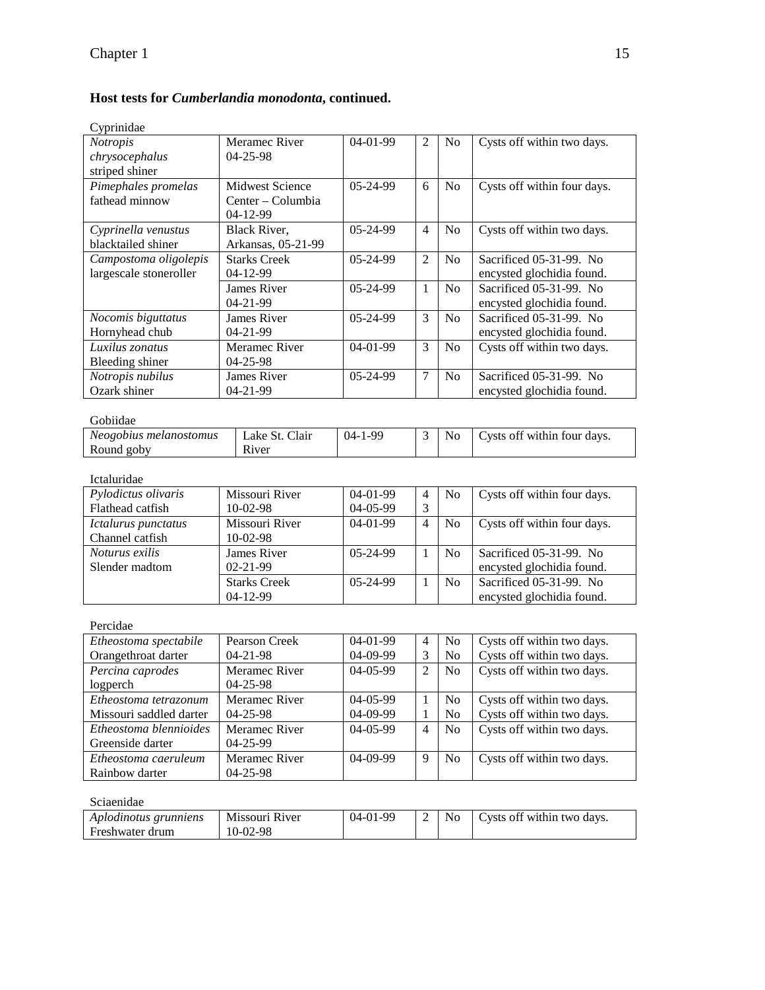# **Host tests for** *Cumberlandia monodonta***, continued.**

| Cyprinidae              |                        |            |                |                |                             |
|-------------------------|------------------------|------------|----------------|----------------|-----------------------------|
| Notropis                | Meramec River          | $04-01-99$ | 2              | N <sub>0</sub> | Cysts off within two days.  |
| chrysocephalus          | $04 - 25 - 98$         |            |                |                |                             |
| striped shiner          |                        |            |                |                |                             |
| Pimephales promelas     | <b>Midwest Science</b> | 05-24-99   | 6              | N <sub>o</sub> | Cysts off within four days. |
| fathead minnow          | Center - Columbia      |            |                |                |                             |
|                         | 04-12-99               |            |                |                |                             |
| Cyprinella venustus     | <b>Black River,</b>    | 05-24-99   | $\overline{4}$ | N <sub>o</sub> | Cysts off within two days.  |
| blacktailed shiner      | Arkansas, 05-21-99     |            |                |                |                             |
| Campostoma oligolepis   | <b>Starks Creek</b>    | 05-24-99   | $\overline{2}$ | N <sub>o</sub> | Sacrificed 05-31-99. No     |
| largescale stoneroller  | 04-12-99               |            |                |                | encysted glochidia found.   |
|                         | James River            | 05-24-99   | $\mathbf{1}$   | N <sub>o</sub> | Sacrificed 05-31-99. No     |
|                         | 04-21-99               |            |                |                | encysted glochidia found.   |
| Nocomis biguttatus      | <b>James River</b>     | 05-24-99   | 3              | N <sub>o</sub> | Sacrificed 05-31-99. No     |
| Hornyhead chub          | 04-21-99               |            |                |                | encysted glochidia found.   |
| Luxilus zonatus         | Meramec River          | 04-01-99   | 3              | N <sub>o</sub> | Cysts off within two days.  |
| <b>Bleeding shiner</b>  | 04-25-98               |            |                |                |                             |
| Notropis nubilus        | James River            | 05-24-99   | $\tau$         | N <sub>o</sub> | Sacrificed 05-31-99. No     |
| Ozark shiner            | 04-21-99               |            |                |                | encysted glochidia found.   |
| Gobiidae                |                        |            |                |                |                             |
| Neogobius melanostomus  | Lake St. Clair         | $04-1-99$  | 3              | N <sub>o</sub> | Cysts off within four days. |
| Round goby              | River                  |            |                |                |                             |
|                         |                        |            |                |                |                             |
| Ictaluridae             |                        |            |                |                |                             |
| Pylodictus olivaris     | Missouri River         | 04-01-99   | $\overline{4}$ | No             | Cysts off within four days. |
| Flathead catfish        | 10-02-98               | 04-05-99   | 3              |                |                             |
| Ictalurus punctatus     | Missouri River         | 04-01-99   | $\overline{4}$ | N <sub>o</sub> | Cysts off within four days. |
| Channel catfish         | 10-02-98               |            |                |                |                             |
| Noturus exilis          | <b>James River</b>     | 05-24-99   | $\mathbf{1}$   | N <sub>o</sub> | Sacrificed 05-31-99. No     |
| Slender madtom          | $02 - 21 - 99$         |            |                |                | encysted glochidia found.   |
|                         | <b>Starks Creek</b>    | 05-24-99   | $\mathbf{1}$   | No             | Sacrificed 05-31-99. No     |
|                         | 04-12-99               |            |                |                | encysted glochidia found.   |
|                         |                        |            |                |                |                             |
| Percidae                |                        |            |                |                |                             |
| Etheostoma spectabile   | Pearson Creek          | 04-01-99   | $\overline{4}$ | N <sub>o</sub> | Cysts off within two days.  |
| Orangethroat darter     | 04-21-98               | 04-09-99   | 3              | N <sub>0</sub> | Cysts off within two days.  |
| Percina caprodes        | Meramec River          | 04-05-99   | $\overline{2}$ | No             | Cysts off within two days.  |
| logperch                | 04-25-98               |            |                |                |                             |
| Etheostoma tetrazonum   | Meramec River          | 04-05-99   | 1              | N <sub>o</sub> | Cysts off within two days.  |
| Missouri saddled darter | 04-25-98               | 04-09-99   | 1              | N <sub>0</sub> | Cysts off within two days.  |
| Etheostoma blennioides  | Meramec River          | 04-05-99   | $\overline{4}$ | N <sub>0</sub> | Cysts off within two days.  |
| Greenside darter        | 04-25-99               |            |                |                |                             |
| Etheostoma caeruleum    | Meramec River          | 04-09-99   | 9              | No             | Cysts off within two days.  |
| Rainbow darter          | 04-25-98               |            |                |                |                             |
|                         |                        |            |                |                |                             |

Sciaenidae

| Aplodinotus grunniens | Missouri River | $04-01-99$ | No - | Cysts off within two days. |
|-----------------------|----------------|------------|------|----------------------------|
| Freshwater drum       | 10-02-98       |            |      |                            |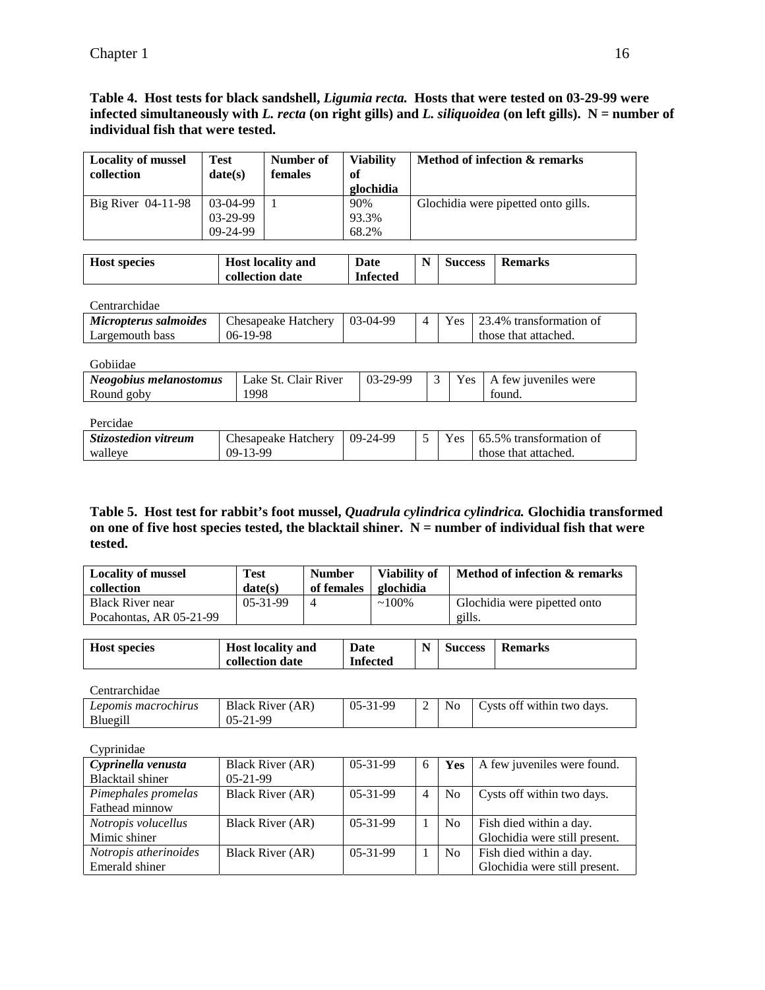# **Table 4. Host tests for black sandshell,** *Ligumia recta.* **Hosts that were tested on 03-29-99 were infected simultaneously with** *L. recta* **(on right gills) and** *L. siliquoidea* **(on left gills). N = number of individual fish that were tested.**

| <b>Locality of mussel</b><br>collection | <b>Test</b><br>date(s) | Number of<br>females | <b>Viability</b><br>of<br>glochidia | Method of infection & remarks       |
|-----------------------------------------|------------------------|----------------------|-------------------------------------|-------------------------------------|
| Big River $04-11-98$                    | 03-04-99               |                      | 90%                                 | Glochidia were pipetted onto gills. |
|                                         | $03-29-99$             |                      | 93.3%                               |                                     |
|                                         | $09-24-99$             |                      | 68.2%                               |                                     |

| <b>Host species</b> | <b>Host locality and</b><br>collection date | Date<br>Infected | <b>Success</b> | <b>Remarks</b> |
|---------------------|---------------------------------------------|------------------|----------------|----------------|
|                     |                                             |                  |                |                |

Centrarchidae

| Micropterus salmoides | $\vert$ Chesapeake Hatchery $\vert$ 03-04-99 |  | $\vert$ Yes $\vert$ 23.4% transformation of |
|-----------------------|----------------------------------------------|--|---------------------------------------------|
| Largemouth bass       | $06-19-98$                                   |  | those that attached.                        |

| <b>O</b> UULUU         |                      |          |       |                      |
|------------------------|----------------------|----------|-------|----------------------|
| Neogobius melanostomus | Lake St. Clair River | 03-29-99 | Yes 1 | A few iuveniles were |
| Round goby             | 998                  |          |       | found.               |

Percidae

| T OTORIAC            |                     |          |  |                                     |
|----------------------|---------------------|----------|--|-------------------------------------|
| Stizostedion vitreum | Chesapeake Hatchery | 09-24-99 |  | Yes $\vert$ 65.5% transformation of |
| walleve              | 09-13-99            |          |  | those that attached.                |

# **Table 5. Host test for rabbit's foot mussel,** *Quadrula cylindrica cylindrica.* **Glochidia transformed**  on one of five host species tested, the blacktail shiner. N = number of individual fish that were **tested.**

| Locality of mussel                                 | <b>Test</b>     | <b>Number</b> | Viability of | Method of infection & remarks          |
|----------------------------------------------------|-----------------|---------------|--------------|----------------------------------------|
| collection                                         | date(s)         | of females    | glochidia    |                                        |
| <b>Black River near</b><br>Pocahontas, AR 05-21-99 | $0.5 - 31 - 99$ |               | $~100\%$     | Glochidia were pipetted onto<br>gills. |

| <b>Host species</b> | <b>Host locality and</b> | Date            | N | <b>Success</b> | <b>Remarks</b> |
|---------------------|--------------------------|-----------------|---|----------------|----------------|
|                     | collection date          | <b>Infected</b> |   |                |                |

Centrarchidae

| Lepomis macrochirus | <b>Black River (AR)</b> | $05-31-99$ | ∼ | No | Cysts off within two days. |
|---------------------|-------------------------|------------|---|----|----------------------------|
| Bluegill            | 05-21-99                |            |   |    |                            |

| Cyprinidae            |                         |                 |   |                |                               |
|-----------------------|-------------------------|-----------------|---|----------------|-------------------------------|
| Cyprinella venusta    | <b>Black River (AR)</b> | $05-31-99$      | 6 | <b>Yes</b>     | A few juveniles were found.   |
| Blacktail shiner      | $05-21-99$              |                 |   |                |                               |
| Pimephales promelas   | <b>Black River (AR)</b> | $0.5 - 31 - 99$ | 4 | N <sub>0</sub> | Cysts off within two days.    |
| Fathead minnow        |                         |                 |   |                |                               |
| Notropis volucellus   | <b>Black River (AR)</b> | $05-31-99$      |   | N <sub>0</sub> | Fish died within a day.       |
| Mimic shiner          |                         |                 |   |                | Glochidia were still present. |
| Notropis atherinoides | <b>Black River (AR)</b> | $0.5 - 31 - 99$ |   | N <sub>0</sub> | Fish died within a day.       |
| Emerald shiner        |                         |                 |   |                | Glochidia were still present. |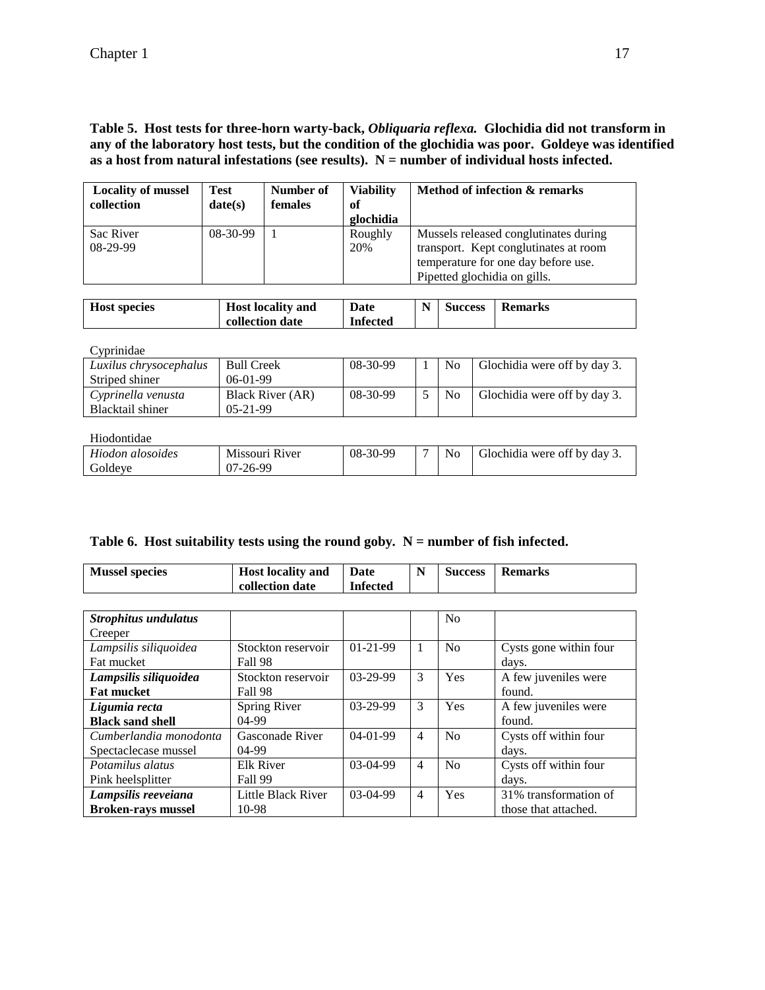# **Table 5. Host tests for three-horn warty-back,** *Obliquaria reflexa.* **Glochidia did not transform in any of the laboratory host tests, but the condition of the glochidia was poor. Goldeye was identified as a host from natural infestations (see results). N = number of individual hosts infected.**

| <b>Locality of mussel</b><br>collection | Test<br>date(s) | Number of<br>females | <b>Viability</b><br>of<br>glochidia | Method of infection & remarks                                                                                                                         |
|-----------------------------------------|-----------------|----------------------|-------------------------------------|-------------------------------------------------------------------------------------------------------------------------------------------------------|
| Sac River<br>$08-29-99$                 | $08-30-99$      |                      | Roughly<br>20%                      | Mussels released conglutinates during<br>transport. Kept conglutinates at room<br>temperature for one day before use.<br>Pipetted glochidia on gills. |

| <b>Host species</b> | <b>Host locality and</b> | Date            | N | <b>Success</b> | <b>Remarks</b> |
|---------------------|--------------------------|-----------------|---|----------------|----------------|
|                     | collection date          | <b>Infected</b> |   |                |                |

#### Cyprinidae

| Luxilus chrysocephalus      | <b>Bull Creek</b>       | 08-30-99 | N <sub>0</sub> | Glochidia were off by day 3. |
|-----------------------------|-------------------------|----------|----------------|------------------------------|
| Striped shiner              | $06-01-99$              |          |                |                              |
| $\Gamma$ Cyprinella venusta | <b>Black River (AR)</b> | 08-30-99 | No             | Glochidia were off by day 3. |
| Blacktail shiner            | $0.5 - 21 - 99$         |          |                |                              |

| Hiodontidae      |                |          |                |                              |
|------------------|----------------|----------|----------------|------------------------------|
| Hiodon alosoides | Missouri River | 08-30-99 | N <sub>o</sub> | Glochidia were off by day 3. |
| Goldeve          | $07-26-99$     |          |                |                              |

# **Table 6. Host suitability tests using the round goby***.* **N = number of fish infected.**

| <b>Mussel species</b>       | <b>Host locality and</b><br>collection date | Date<br><b>Infected</b> | N | <b>Success</b> | <b>Remarks</b>         |
|-----------------------------|---------------------------------------------|-------------------------|---|----------------|------------------------|
|                             |                                             |                         |   |                |                        |
| <b>Strophitus undulatus</b> |                                             |                         |   | N <sub>0</sub> |                        |
| Creeper                     |                                             |                         |   |                |                        |
| Lampsilis siliquoidea       | Stockton reservoir                          | $01-21-99$              |   | N <sub>0</sub> | Cysts gone within four |
| Fat mucket                  | Fall 98                                     |                         |   |                | days.                  |
| Lampsilis siliquoidea       | Stockton reservoir                          | $03-29-99$              | 3 | <b>Yes</b>     | A few juveniles were   |

| Lampsilis siliquoidea     | Stockton reservoir | $03-29-99$ | 3              | Yes            | A few juveniles were  |
|---------------------------|--------------------|------------|----------------|----------------|-----------------------|
| <b>Fat mucket</b>         | Fall 98            |            |                |                | found.                |
| Ligumia recta             | Spring River       | $03-29-99$ | 3              | Yes            | A few juveniles were  |
| <b>Black sand shell</b>   | $04-99$            |            |                |                | found.                |
| Cumberlandia monodonta    | Gasconade River    | $04-01-99$ | 4              | N <sub>0</sub> | Cysts off within four |
| Spectaclecase mussel      | $04-99$            |            |                |                | days.                 |
| Potamilus alatus          | Elk River          | $03-04-99$ | $\overline{4}$ | N <sub>0</sub> | Cysts off within four |
| Pink heelsplitter         | Fall 99            |            |                |                | days.                 |
| Lampsilis reeveiana       | Little Black River | $03-04-99$ | $\overline{4}$ | Yes            | 31% transformation of |
| <b>Broken-rays mussel</b> | 10-98              |            |                |                | those that attached.  |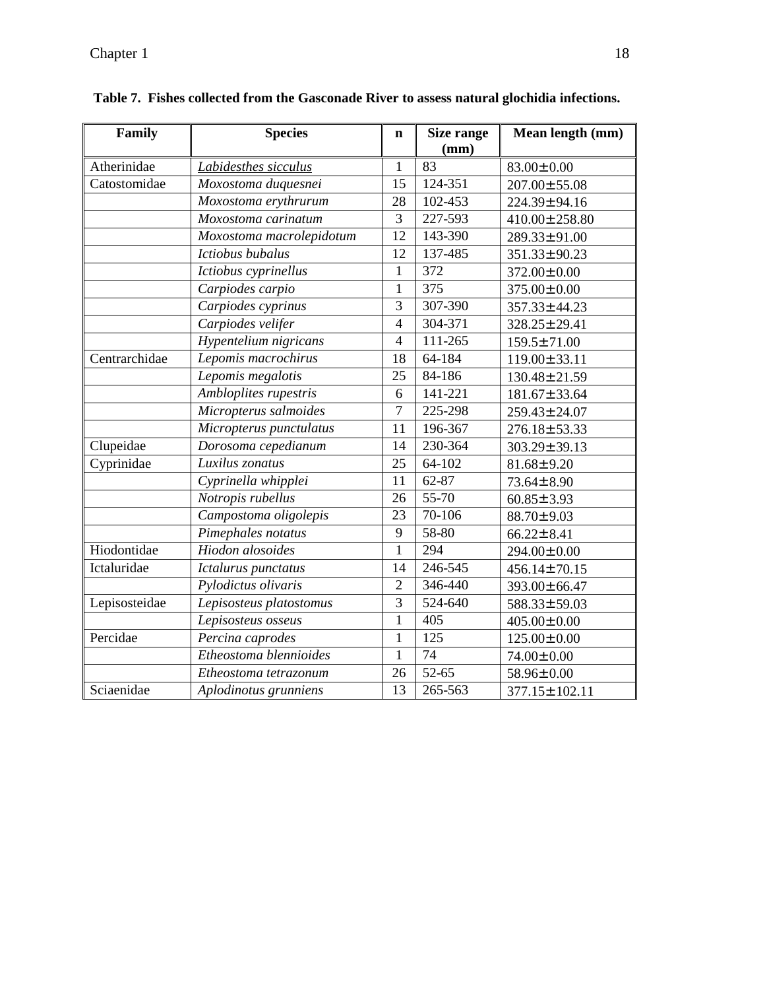| Family        | <b>Species</b>           | $\mathbf n$    | Size range<br>(mm) | Mean length (mm)  |
|---------------|--------------------------|----------------|--------------------|-------------------|
| Atherinidae   | Labidesthes sicculus     | $\mathbf{1}$   | $\overline{83}$    | 83.00±0.00        |
| Catostomidae  | Moxostoma duquesnei      | 15             | 124-351            | 207.00±55.08      |
|               | Moxostoma erythrurum     | 28             | 102-453            | 224.39±94.16      |
|               | Moxostoma carinatum      | $\overline{3}$ | 227-593            | 410.00±258.80     |
|               | Moxostoma macrolepidotum | 12             | 143-390            | 289.33±91.00      |
|               | Ictiobus bubalus         | 12             | 137-485            | 351.33±90.23      |
|               | Ictiobus cyprinellus     | $\mathbf{1}$   | 372                | 372.00±0.00       |
|               | Carpiodes carpio         | $\mathbf{1}$   | 375                | 375.00±0.00       |
|               | Carpiodes cyprinus       | $\overline{3}$ | 307-390            | 357.33±44.23      |
|               | Carpiodes velifer        | $\overline{4}$ | 304-371            | 328.25±29.41      |
|               | Hypentelium nigricans    | $\overline{4}$ | 111-265            | 159.5±71.00       |
| Centrarchidae | Lepomis macrochirus      | 18             | 64-184             | 119.00±33.11      |
|               | Lepomis megalotis        | 25             | 84-186             | 130.48±21.59      |
|               | Ambloplites rupestris    | 6              | 141-221            | 181.67±33.64      |
|               | Micropterus salmoides    | $\overline{7}$ | 225-298            | 259.43± 24.07     |
|               | Micropterus punctulatus  | 11             | 196-367            | 276.18±53.33      |
| Clupeidae     | Dorosoma cepedianum      | 14             | 230-364            | 303.29± 39.13     |
| Cyprinidae    | Luxilus zonatus          | 25             | 64-102             | $81.68 \pm 9.20$  |
|               | Cyprinella whipplei      | 11             | 62-87              | 73.64±8.90        |
|               | Notropis rubellus        | 26             | 55-70              | $60.85 \pm 3.93$  |
|               | Campostoma oligolepis    | 23             | 70-106             | $88.70 \pm 9.03$  |
|               | Pimephales notatus       | 9              | 58-80              | $66.22 \pm 8.41$  |
| Hiodontidae   | Hiodon alosoides         | $\mathbf{1}$   | 294                | 294.00±0.00       |
| Ictaluridae   | Ictalurus punctatus      | 14             | 246-545            | 456.14±70.15      |
|               | Pylodictus olivaris      | $\overline{2}$ | 346-440            | 393.00±66.47      |
| Lepisosteidae | Lepisosteus platostomus  | 3              | 524-640            | 588.33± 59.03     |
|               | Lepisosteus osseus       | $\mathbf{1}$   | 405                | $405.00 \pm 0.00$ |
| Percidae      | Percina caprodes         | $\mathbf{1}$   | 125                | 125.00±0.00       |
|               | Etheostoma blennioides   | $\mathbf{1}$   | 74                 | 74.00±0.00        |
|               | Etheostoma tetrazonum    | 26             | $52-65$            | 58.96±0.00        |
| Sciaenidae    | Aplodinotus grunniens    |                | 265-563            | 377.15±102.11     |

# **Table 7. Fishes collected from the Gasconade River to assess natural glochidia infections.**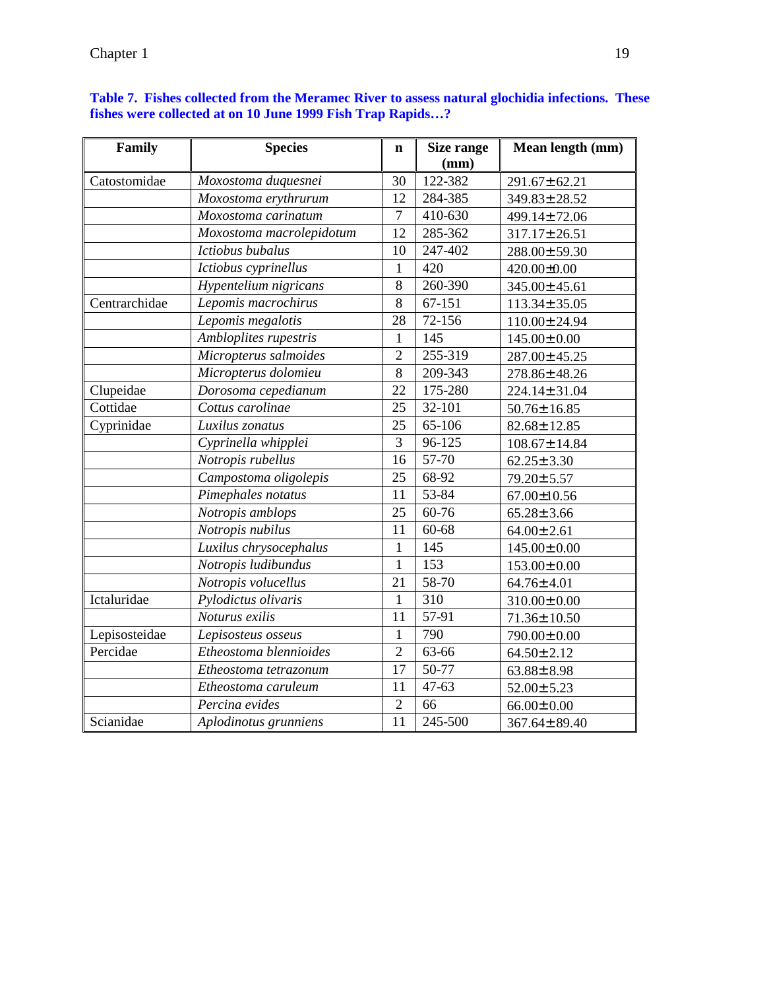| Family        | <b>Species</b>           | $\mathbf n$     | Size range<br>(mm) | Mean length (mm)  |
|---------------|--------------------------|-----------------|--------------------|-------------------|
| Catostomidae  | Moxostoma duquesnei      | 30              | 122-382            | 291.67±62.21      |
|               | Moxostoma erythrurum     | 12              | 284-385            | 349.83±28.52      |
|               | Moxostoma carinatum      | $\tau$          | 410-630            | 499.14±72.06      |
|               | Moxostoma macrolepidotum | 12              | 285-362            | 317.17±26.51      |
|               | Ictiobus bubalus         | 10              | 247-402            | 288.00±59.30      |
|               | Ictiobus cyprinellus     | $\mathbf{1}$    | 420                | 420.00±0.00       |
|               | Hypentelium nigricans    | 8               | 260-390            | 345.00±45.61      |
| Centrarchidae | Lepomis macrochirus      | $\overline{8}$  | 67-151             | 113.34± 35.05     |
|               | Lepomis megalotis        | 28              | 72-156             | 110.00±24.94      |
|               | Ambloplites rupestris    | $\mathbf{1}$    | 145                | 145.00±0.00       |
|               | Micropterus salmoides    | $\overline{2}$  | 255-319            | 287.00±45.25      |
|               | Micropterus dolomieu     | $\overline{8}$  | 209-343            | 278.86±48.26      |
| Clupeidae     | Dorosoma cepedianum      | 22              | 175-280            | 224.14±31.04      |
| Cottidae      | Cottus carolinae         | 25              | 32-101             | 50.76±16.85       |
| Cyprinidae    | Luxilus zonatus          | 25              | 65-106             | 82.68±12.85       |
|               | Cyprinella whipplei      | $\overline{3}$  | 96-125             | 108.67±14.84      |
|               | Notropis rubellus        | 16              | 57-70              | $62.25 \pm 3.30$  |
|               | Campostoma oligolepis    | 25              | 68-92              | 79.20±5.57        |
|               | Pimephales notatus       | 11              | 53-84              | 67.00±10.56       |
|               | Notropis amblops         | 25              | 60-76              | $65.28 \pm 3.66$  |
|               | Notropis nubilus         | 11              | 60-68              | $64.00 \pm 2.61$  |
|               | Luxilus chrysocephalus   | $\mathbf{1}$    | 145                | 145.00±0.00       |
|               | Notropis ludibundus      | $\mathbf{1}$    | 153                | 153.00±0.00       |
|               | Notropis volucellus      | 21              | 58-70              | 64.76±4.01        |
| Ictaluridae   | Pylodictus olivaris      | $\mathbf{1}$    | 310                | $310.00 \pm 0.00$ |
|               | Noturus exilis           | 11              | $57-91$            | 71.36±10.50       |
| Lepisosteidae | Lepisosteus osseus       | $\mathbf{1}$    | 790                | 790.00±0.00       |
| Percidae      | Etheostoma blennioides   | $\overline{2}$  | 63-66              | $64.50 \pm 2.12$  |
|               | Etheostoma tetrazonum    | $\overline{17}$ | 50-77              | 63.88±8.98        |
|               | Etheostoma caruleum      | 11              | $47 - 63$          | $52.00 \pm 5.23$  |
|               | Percina evides           | $\overline{2}$  | 66                 | $66.00 \pm 0.00$  |
| Scianidae     | Aplodinotus grunniens    | $\overline{11}$ | 245-500            | 367.64±89.40      |

# **Table 7. Fishes collected from the Meramec River to assess natural glochidia infections. These fishes were collected at on 10 June 1999 Fish Trap Rapids…?**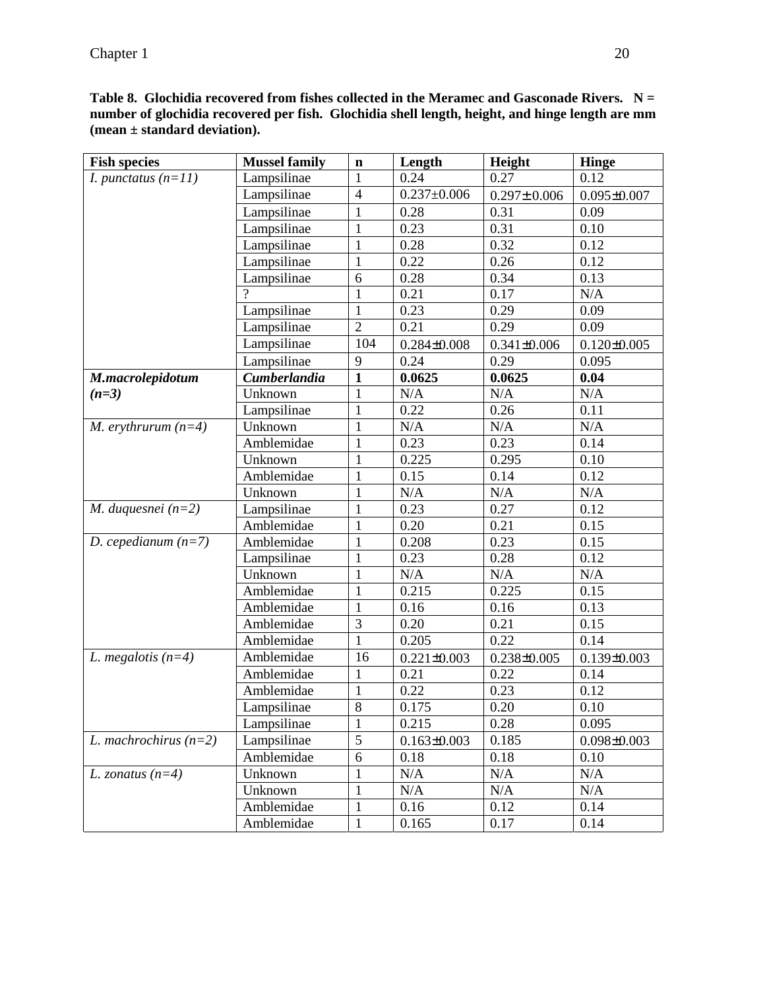| <b>Fish species</b>          | <b>Mussel family</b> | $\mathbf n$    | Length            | Height            | <b>Hinge</b>      |
|------------------------------|----------------------|----------------|-------------------|-------------------|-------------------|
| <i>I. punctatus</i> $(n=11)$ | Lampsilinae          | $\mathbf{1}$   | 0.24              | 0.27              | 0.12              |
|                              | Lampsilinae          | $\overline{4}$ | $0.237 \pm 0.006$ | $0.297 \pm 0.006$ | $0.095 \pm 0.007$ |
|                              | Lampsilinae          | $\mathbf{1}$   | 0.28              | 0.31              | 0.09              |
|                              | Lampsilinae          | $\mathbf{1}$   | 0.23              | 0.31              | 0.10              |
|                              | Lampsilinae          | 1              | 0.28              | 0.32              | 0.12              |
|                              | Lampsilinae          | $\mathbf{1}$   | 0.22              | 0.26              | 0.12              |
|                              | Lampsilinae          | 6              | 0.28              | 0.34              | 0.13              |
|                              |                      | $\mathbf{1}$   | 0.21              | 0.17              | N/A               |
|                              | Lampsilinae          | $\mathbf{1}$   | 0.23              | 0.29              | 0.09              |
|                              | Lampsilinae          | $\overline{2}$ | 0.21              | 0.29              | 0.09              |
|                              | Lampsilinae          | 104            | $0.284 \pm 0.008$ | $0.341 \pm 0.006$ | $0.120 \pm 0.005$ |
|                              | Lampsilinae          | 9              | 0.24              | 0.29              | 0.095             |
| M.macrolepidotum             | <b>Cumberlandia</b>  | $\mathbf{1}$   | 0.0625            | 0.0625            | 0.04              |
| $(n=3)$                      | Unknown              | $\mathbf{1}$   | N/A               | N/A               | N/A               |
|                              | Lampsilinae          | $\mathbf{1}$   | 0.22              | 0.26              | 0.11              |
| M. erythrurum $(n=4)$        | Unknown              | $\mathbf{1}$   | N/A               | N/A               | N/A               |
|                              | Amblemidae           | $\mathbf{1}$   | 0.23              | 0.23              | 0.14              |
|                              | Unknown              | $\mathbf{1}$   | 0.225             | 0.295             | 0.10              |
|                              | Amblemidae           | 1              | 0.15              | 0.14              | 0.12              |
|                              | Unknown              | 1              | N/A               | N/A               | N/A               |
| M. duquesnei $(n=2)$         | Lampsilinae          | $\mathbf{1}$   | 0.23              | 0.27              | 0.12              |
|                              | Amblemidae           | $\mathbf{1}$   | 0.20              | 0.21              | 0.15              |
| D. cepedianum $(n=7)$        | Amblemidae           | $\mathbf{1}$   | 0.208             | 0.23              | 0.15              |
|                              | Lampsilinae          | 1              | 0.23              | 0.28              | 0.12              |
|                              | Unknown              | 1              | N/A               | N/A               | N/A               |
|                              | Amblemidae           | $\mathbf{1}$   | 0.215             | 0.225             | 0.15              |
|                              | Amblemidae           | $\mathbf{1}$   | 0.16              | 0.16              | 0.13              |
|                              | Amblemidae           | 3              | 0.20              | 0.21              | 0.15              |
|                              | Amblemidae           | 1              | 0.205             | 0.22              | 0.14              |
| L. megalotis $(n=4)$         | Amblemidae           | 16             | $0.221 \pm 0.003$ | $0.238 \pm 0.005$ | $0.139 \pm 0.003$ |
|                              | Amblemidae           | $\mathbf{1}$   | 0.21              | 0.22              | 0.14              |
|                              | Amblemidae           | $\mathbf{1}$   | 0.22              | 0.23              | 0.12              |
|                              | Lampsilinae          | 8              | 0.175             | 0.20              | 0.10              |
|                              | Lampsilinae          | 1              | 0.215             | 0.28              | 0.095             |
| L. machrochirus $(n=2)$      | Lampsilinae          | 5              | $0.163 \pm 0.003$ | 0.185             | $0.098 \pm 0.003$ |
|                              | Amblemidae           | 6              | 0.18              | 0.18              | 0.10              |
| L. zonatus $(n=4)$           | Unknown              | $\mathbf{1}$   | N/A               | N/A               | N/A               |
|                              | Unknown              | $\mathbf{1}$   | N/A               | N/A               | N/A               |
|                              | Amblemidae           | $\mathbf{1}$   | 0.16              | 0.12              | 0.14              |

Amblemidae 1 0.165 0.17 0.14

Table 8. Glochidia recovered from fishes collected in the Meramec and Gasconade Rivers. N = **number of glochidia recovered per fish. Glochidia shell length, height, and hinge length are mm (mean ± standard deviation).**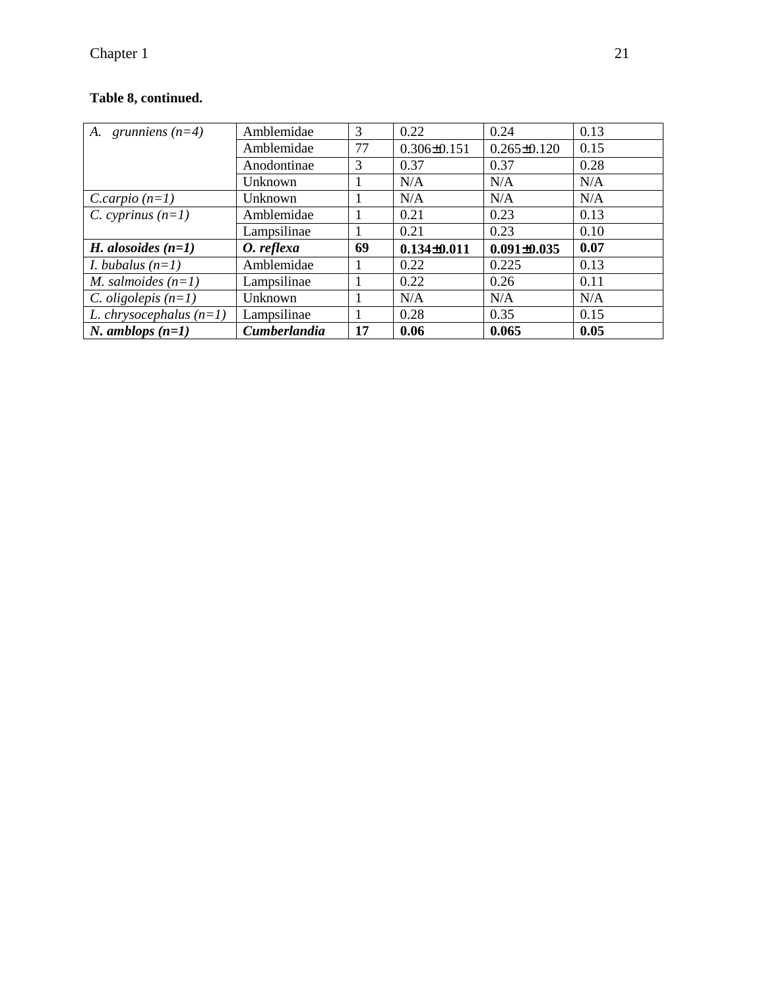# **Table 8, continued.**

| A. grunniens $(n=4)$      | Amblemidae          | 3  | 0.22              | 0.24              | 0.13 |
|---------------------------|---------------------|----|-------------------|-------------------|------|
|                           | Amblemidae          | 77 | $0.306 \pm 0.151$ | $0.265 \pm 0.120$ | 0.15 |
|                           | Anodontinae         | 3  | 0.37              | 0.37              | 0.28 |
|                           | Unknown             |    | N/A               | N/A               | N/A  |
| $C.carpio (n=1)$          | Unknown             |    | N/A               | N/A               | N/A  |
| C. cyprinus $(n=1)$       | Amblemidae          |    | 0.21              | 0.23              | 0.13 |
|                           | Lampsilinae         |    | 0.21              | 0.23              | 0.10 |
| H. alosoides $(n=1)$      | O. reflexa          | 69 | $0.134 \pm 0.011$ | $0.091 \pm 0.035$ | 0.07 |
| <i>I. bubalus</i> $(n=1)$ | Amblemidae          |    | 0.22              | 0.225             | 0.13 |
| M. salmoides $(n=1)$      | Lampsilinae         |    | 0.22              | 0.26              | 0.11 |
| C. oligolepis $(n=1)$     | Unknown             |    | N/A               | N/A               | N/A  |
| L. chrysocephalus $(n=1)$ | Lampsilinae         |    | 0.28              | 0.35              | 0.15 |
| <i>N.</i> amblops $(n=1)$ | <b>Cumberlandia</b> | 17 | 0.06              | 0.065             | 0.05 |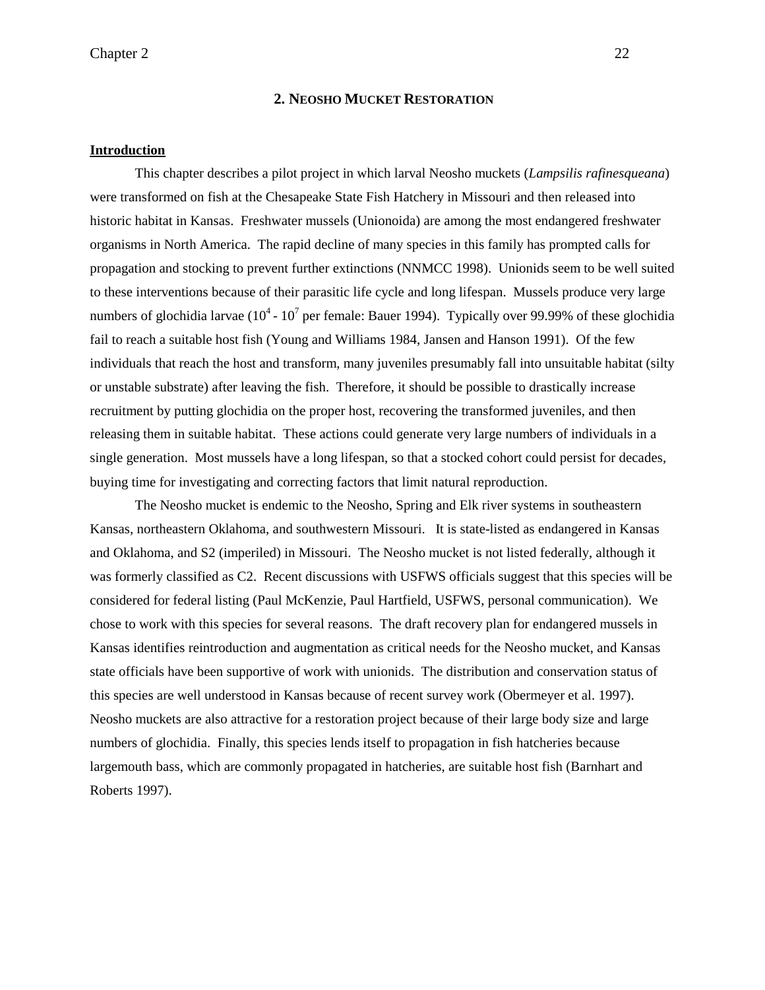## **2. NEOSHO MUCKET RESTORATION**

#### **Introduction**

This chapter describes a pilot project in which larval Neosho muckets (*Lampsilis rafinesqueana*) were transformed on fish at the Chesapeake State Fish Hatchery in Missouri and then released into historic habitat in Kansas. Freshwater mussels (Unionoida) are among the most endangered freshwater organisms in North America. The rapid decline of many species in this family has prompted calls for propagation and stocking to prevent further extinctions (NNMCC 1998). Unionids seem to be well suited to these interventions because of their parasitic life cycle and long lifespan. Mussels produce very large numbers of glochidia larvae ( $10^4$  -  $10^7$  per female: Bauer 1994). Typically over 99.99% of these glochidia fail to reach a suitable host fish (Young and Williams 1984, Jansen and Hanson 1991). Of the few individuals that reach the host and transform, many juveniles presumably fall into unsuitable habitat (silty or unstable substrate) after leaving the fish. Therefore, it should be possible to drastically increase recruitment by putting glochidia on the proper host, recovering the transformed juveniles, and then releasing them in suitable habitat. These actions could generate very large numbers of individuals in a single generation. Most mussels have a long lifespan, so that a stocked cohort could persist for decades, buying time for investigating and correcting factors that limit natural reproduction.

The Neosho mucket is endemic to the Neosho, Spring and Elk river systems in southeastern Kansas, northeastern Oklahoma, and southwestern Missouri. It is state-listed as endangered in Kansas and Oklahoma, and S2 (imperiled) in Missouri. The Neosho mucket is not listed federally, although it was formerly classified as C2. Recent discussions with USFWS officials suggest that this species will be considered for federal listing (Paul McKenzie, Paul Hartfield, USFWS, personal communication). We chose to work with this species for several reasons. The draft recovery plan for endangered mussels in Kansas identifies reintroduction and augmentation as critical needs for the Neosho mucket, and Kansas state officials have been supportive of work with unionids. The distribution and conservation status of this species are well understood in Kansas because of recent survey work (Obermeyer et al. 1997). Neosho muckets are also attractive for a restoration project because of their large body size and large numbers of glochidia. Finally, this species lends itself to propagation in fish hatcheries because largemouth bass, which are commonly propagated in hatcheries, are suitable host fish (Barnhart and Roberts 1997).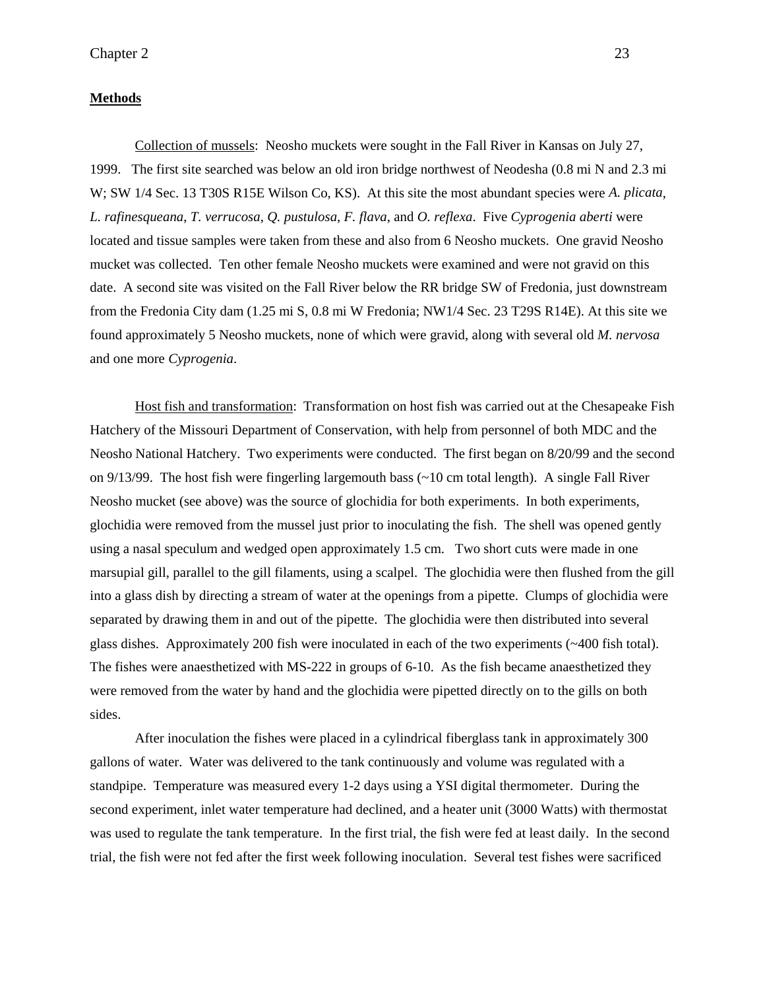## **Methods**

Collection of mussels: Neosho muckets were sought in the Fall River in Kansas on July 27, 1999. The first site searched was below an old iron bridge northwest of Neodesha (0.8 mi N and 2.3 mi W; SW 1/4 Sec. 13 T30S R15E Wilson Co, KS). At this site the most abundant species were *A. plicata*, *L. rafinesqueana*, *T. verrucosa*, *Q. pustulosa*, *F. flava*, and *O. reflexa*. Five *Cyprogenia aberti* were located and tissue samples were taken from these and also from 6 Neosho muckets. One gravid Neosho mucket was collected. Ten other female Neosho muckets were examined and were not gravid on this date. A second site was visited on the Fall River below the RR bridge SW of Fredonia, just downstream from the Fredonia City dam (1.25 mi S, 0.8 mi W Fredonia; NW1/4 Sec. 23 T29S R14E). At this site we found approximately 5 Neosho muckets, none of which were gravid, along with several old *M. nervosa* and one more *Cyprogenia*.

Host fish and transformation: Transformation on host fish was carried out at the Chesapeake Fish Hatchery of the Missouri Department of Conservation, with help from personnel of both MDC and the Neosho National Hatchery. Two experiments were conducted. The first began on 8/20/99 and the second on 9/13/99. The host fish were fingerling largemouth bass  $\left(\sim 10 \text{ cm}$  total length). A single Fall River Neosho mucket (see above) was the source of glochidia for both experiments. In both experiments, glochidia were removed from the mussel just prior to inoculating the fish. The shell was opened gently using a nasal speculum and wedged open approximately 1.5 cm. Two short cuts were made in one marsupial gill, parallel to the gill filaments, using a scalpel. The glochidia were then flushed from the gill into a glass dish by directing a stream of water at the openings from a pipette. Clumps of glochidia were separated by drawing them in and out of the pipette. The glochidia were then distributed into several glass dishes. Approximately 200 fish were inoculated in each of the two experiments (~400 fish total). The fishes were anaesthetized with MS-222 in groups of 6-10. As the fish became anaesthetized they were removed from the water by hand and the glochidia were pipetted directly on to the gills on both sides.

After inoculation the fishes were placed in a cylindrical fiberglass tank in approximately 300 gallons of water. Water was delivered to the tank continuously and volume was regulated with a standpipe. Temperature was measured every 1-2 days using a YSI digital thermometer. During the second experiment, inlet water temperature had declined, and a heater unit (3000 Watts) with thermostat was used to regulate the tank temperature. In the first trial, the fish were fed at least daily. In the second trial, the fish were not fed after the first week following inoculation. Several test fishes were sacrificed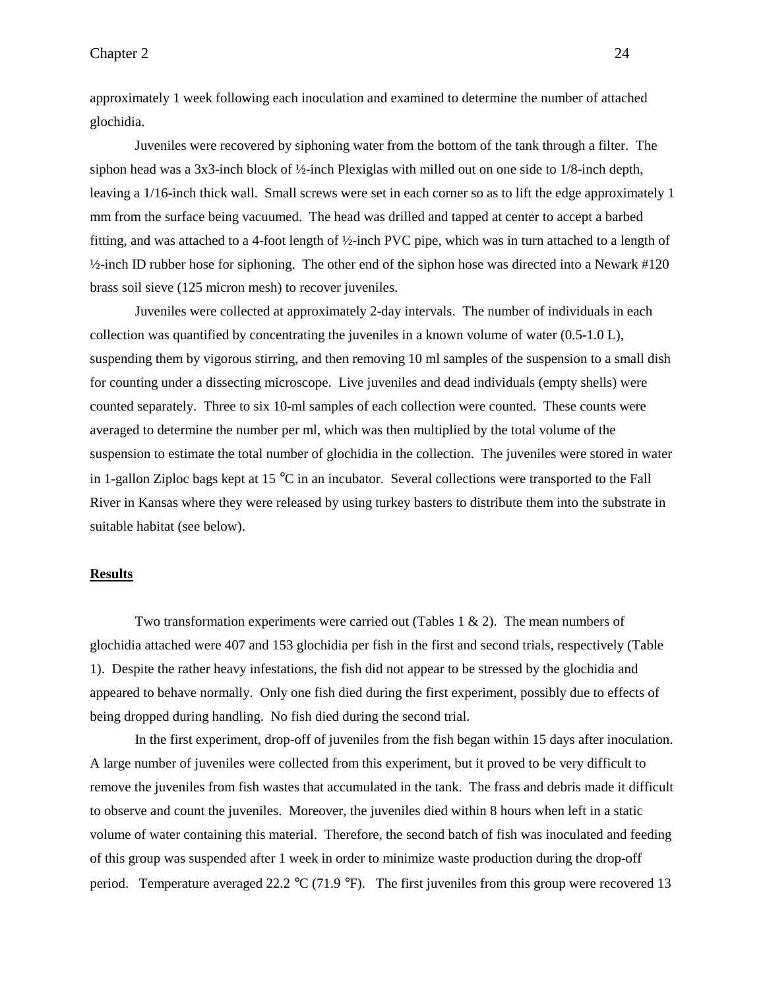approximately 1 week following each inoculation and examined to determine the number of attached glochidia.

Juveniles were recovered by siphoning water from the bottom of the tank through a filter. The siphon head was a 3x3-inch block of ½-inch Plexiglas with milled out on one side to 1/8-inch depth, leaving a 1/16-inch thick wall. Small screws were set in each corner so as to lift the edge approximately 1 mm from the surface being vacuumed. The head was drilled and tapped at center to accept a barbed fitting, and was attached to a 4-foot length of ½-inch PVC pipe, which was in turn attached to a length of ½-inch ID rubber hose for siphoning. The other end of the siphon hose was directed into a Newark #120 brass soil sieve (125 micron mesh) to recover juveniles.

Juveniles were collected at approximately 2-day intervals. The number of individuals in each collection was quantified by concentrating the juveniles in a known volume of water  $(0.5-1.0 \text{ L})$ , suspending them by vigorous stirring, and then removing 10 ml samples of the suspension to a small dish for counting under a dissecting microscope. Live juveniles and dead individuals (empty shells) were counted separately. Three to six 10-ml samples of each collection were counted. These counts were averaged to determine the number per ml, which was then multiplied by the total volume of the suspension to estimate the total number of glochidia in the collection. The juveniles were stored in water in 1-gallon Ziploc bags kept at 15 °C in an incubator. Several collections were transported to the Fall River in Kansas where they were released by using turkey basters to distribute them into the substrate in suitable habitat (see below).

### **Results**

Two transformation experiments were carried out (Tables  $1 \& 2$ ). The mean numbers of glochidia attached were 407 and 153 glochidia per fish in the first and second trials, respectively (Table 1). Despite the rather heavy infestations, the fish did not appear to be stressed by the glochidia and appeared to behave normally. Only one fish died during the first experiment, possibly due to effects of being dropped during handling. No fish died during the second trial.

In the first experiment, drop-off of juveniles from the fish began within 15 days after inoculation. A large number of juveniles were collected from this experiment, but it proved to be very difficult to remove the juveniles from fish wastes that accumulated in the tank. The frass and debris made it difficult to observe and count the juveniles. Moreover, the juveniles died within 8 hours when left in a static volume of water containing this material. Therefore, the second batch of fish was inoculated and feeding of this group was suspended after 1 week in order to minimize waste production during the drop-off period. Temperature averaged 22.2  $^{\circ}C$  (71.9  $^{\circ}F$ ). The first juveniles from this group were recovered 13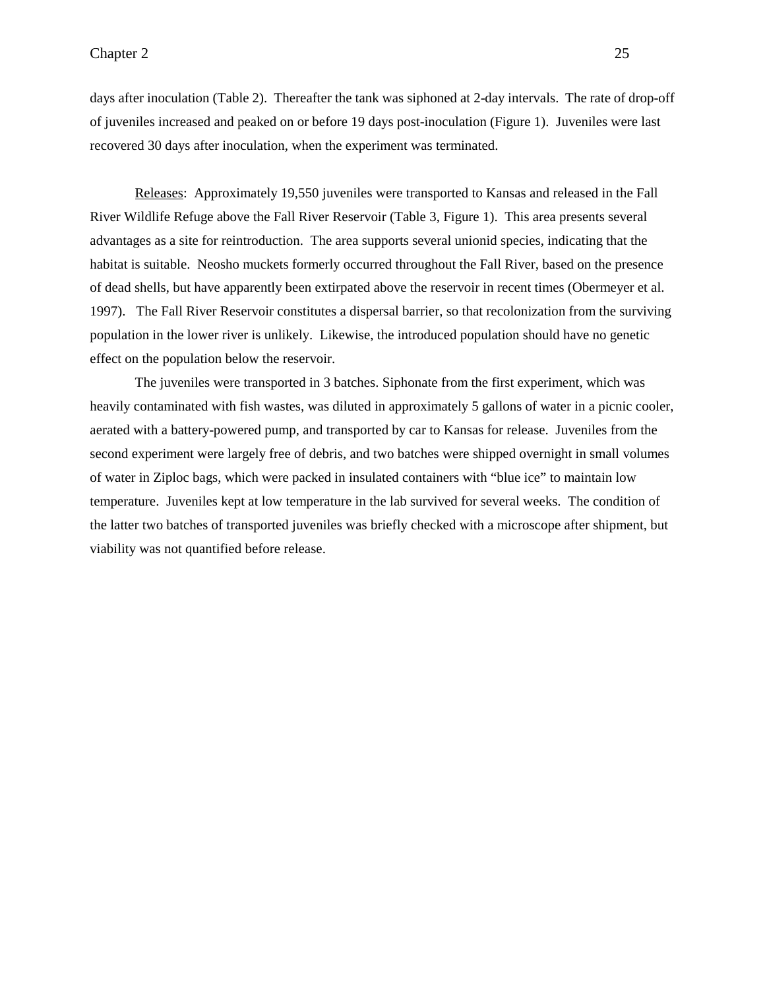days after inoculation (Table 2). Thereafter the tank was siphoned at 2-day intervals. The rate of drop-off of juveniles increased and peaked on or before 19 days post-inoculation (Figure 1). Juveniles were last recovered 30 days after inoculation, when the experiment was terminated.

Releases: Approximately 19,550 juveniles were transported to Kansas and released in the Fall River Wildlife Refuge above the Fall River Reservoir (Table 3, Figure 1). This area presents several advantages as a site for reintroduction. The area supports several unionid species, indicating that the habitat is suitable. Neosho muckets formerly occurred throughout the Fall River, based on the presence of dead shells, but have apparently been extirpated above the reservoir in recent times (Obermeyer et al. 1997). The Fall River Reservoir constitutes a dispersal barrier, so that recolonization from the surviving population in the lower river is unlikely. Likewise, the introduced population should have no genetic effect on the population below the reservoir.

The juveniles were transported in 3 batches. Siphonate from the first experiment, which was heavily contaminated with fish wastes, was diluted in approximately 5 gallons of water in a picnic cooler, aerated with a battery-powered pump, and transported by car to Kansas for release. Juveniles from the second experiment were largely free of debris, and two batches were shipped overnight in small volumes of water in Ziploc bags, which were packed in insulated containers with "blue ice" to maintain low temperature. Juveniles kept at low temperature in the lab survived for several weeks. The condition of the latter two batches of transported juveniles was briefly checked with a microscope after shipment, but viability was not quantified before release.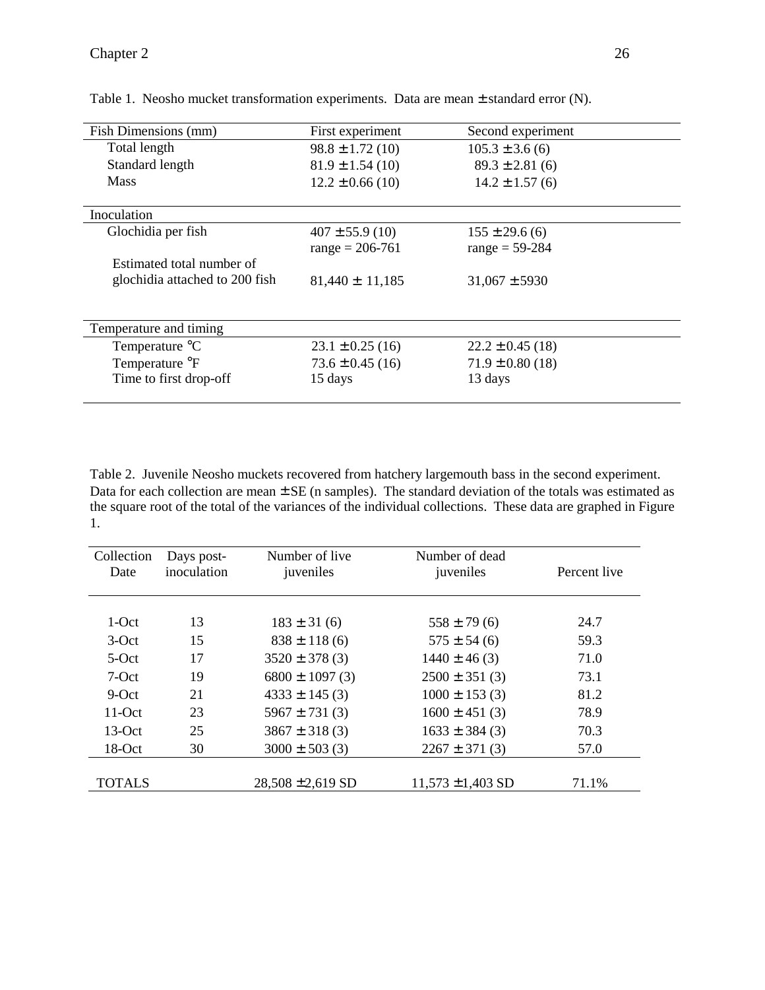| Fish Dimensions (mm)           | First experiment     | Second experiment    |
|--------------------------------|----------------------|----------------------|
| Total length                   | $98.8 \pm 1.72(10)$  | $105.3 \pm 3.6$ (6)  |
| Standard length                | $81.9 \pm 1.54(10)$  | $89.3 \pm 2.81(6)$   |
| <b>Mass</b>                    | $12.2 \pm 0.66$ (10) | $14.2 \pm 1.57(6)$   |
|                                |                      |                      |
| Inoculation                    |                      |                      |
| Glochidia per fish             | $407 \pm 55.9$ (10)  | $155 \pm 29.6$ (6)   |
|                                | $range = 206-761$    | $range = 59 - 284$   |
| Estimated total number of      |                      |                      |
| glochidia attached to 200 fish | $81,440 \pm 11,185$  | $31,067 \pm 5930$    |
|                                |                      |                      |
| Temperature and timing         |                      |                      |
| Temperature °C                 | $23.1 \pm 0.25$ (16) | $22.2 \pm 0.45$ (18) |
| Temperature °F                 | $73.6 \pm 0.45$ (16) | $71.9 \pm 0.80$ (18) |
| Time to first drop-off         | 15 days              | 13 days              |
|                                |                      |                      |

Table 1. Neosho mucket transformation experiments. Data are mean ± standard error (N).

Table 2. Juvenile Neosho muckets recovered from hatchery largemouth bass in the second experiment. Data for each collection are mean  $\pm$  SE (n samples). The standard deviation of the totals was estimated as the square root of the total of the variances of the individual collections. These data are graphed in Figure 1.

| Collection<br>Date | Days post-<br>inoculation | Number of live<br>juveniles | Number of dead<br>juveniles | Percent live |
|--------------------|---------------------------|-----------------------------|-----------------------------|--------------|
|                    |                           |                             |                             |              |
| $1-Oct$            | 13                        | $183 \pm 31(6)$             | $558 \pm 79(6)$             | 24.7         |
| $3-Oct$            | 15                        | $838 \pm 118(6)$            | $575 \pm 54(6)$             | 59.3         |
| $5-Oct$            | 17                        | $3520 \pm 378(3)$           | $1440 \pm 46$ (3)           | 71.0         |
| $7-Oct$            | 19                        | $6800 \pm 1097$ (3)         | $2500 \pm 351(3)$           | 73.1         |
| $9-Oct$            | 21                        | $4333 \pm 145$ (3)          | $1000 \pm 153$ (3)          | 81.2         |
| $11$ -Oct          | 23                        | 5967 $\pm$ 731 (3)          | $1600 \pm 451(3)$           | 78.9         |
| $13-Oct$           | 25                        | $3867 \pm 318(3)$           | $1633 \pm 384$ (3)          | 70.3         |
| $18-Oct$           | 30                        | $3000 \pm 503$ (3)          | $2267 \pm 371(3)$           | 57.0         |
|                    |                           |                             |                             |              |
| <b>TOTALS</b>      |                           | $28,508 \pm 2,619$ SD       | $11,573 \pm 1,403$ SD       | 71.1%        |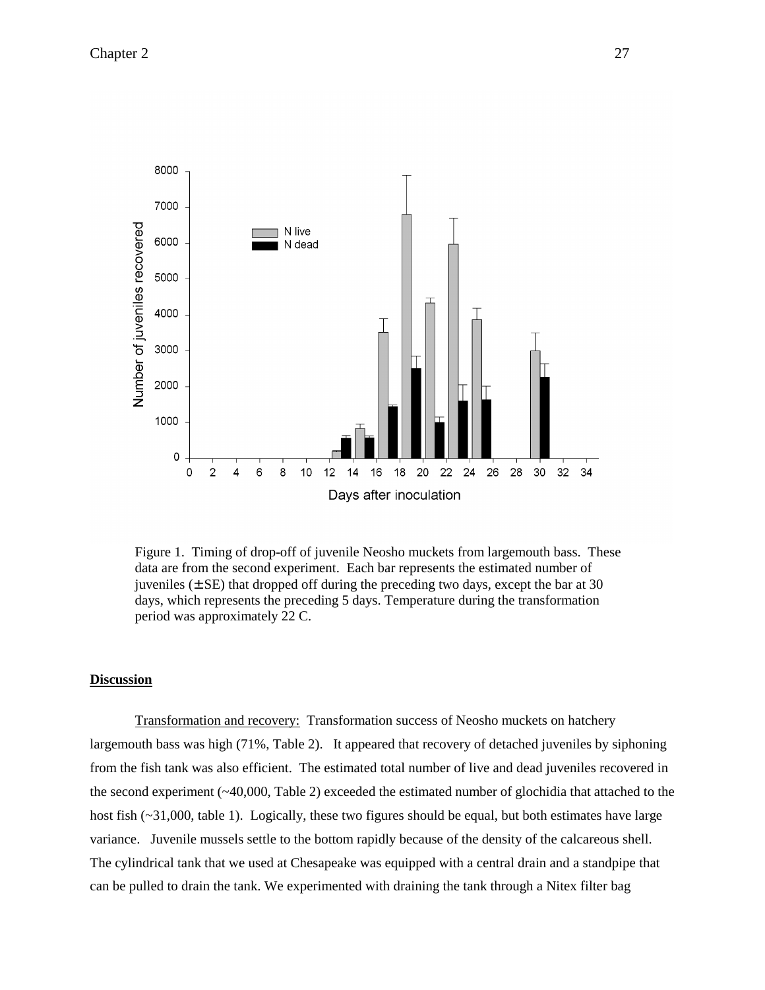

Figure 1. Timing of drop-off of juvenile Neosho muckets from largemouth bass. These data are from the second experiment. Each bar represents the estimated number of juveniles  $(\pm S$ E) that dropped off during the preceding two days, except the bar at 30 days, which represents the preceding 5 days. Temperature during the transformation period was approximately 22 C.

## **Discussion**

Transformation and recovery: Transformation success of Neosho muckets on hatchery largemouth bass was high (71%, Table 2). It appeared that recovery of detached juveniles by siphoning from the fish tank was also efficient. The estimated total number of live and dead juveniles recovered in the second experiment (~40,000, Table 2) exceeded the estimated number of glochidia that attached to the host fish  $(\sim 31,000, \text{ table } 1)$ . Logically, these two figures should be equal, but both estimates have large variance. Juvenile mussels settle to the bottom rapidly because of the density of the calcareous shell. The cylindrical tank that we used at Chesapeake was equipped with a central drain and a standpipe that can be pulled to drain the tank. We experimented with draining the tank through a Nitex filter bag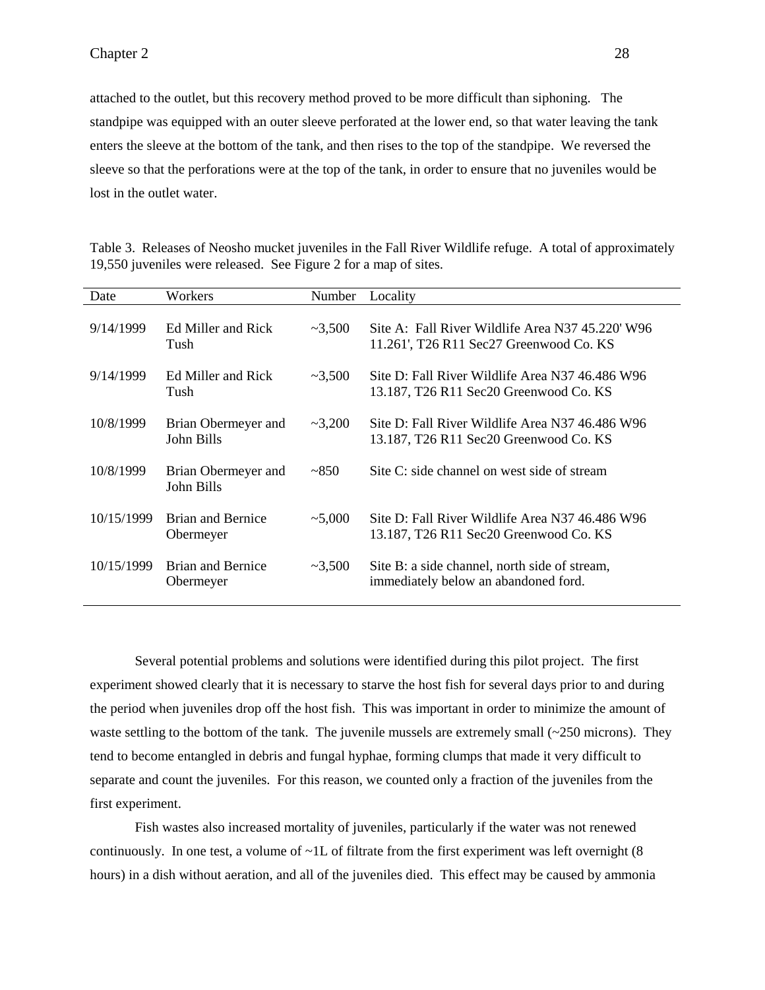attached to the outlet, but this recovery method proved to be more difficult than siphoning. The standpipe was equipped with an outer sleeve perforated at the lower end, so that water leaving the tank enters the sleeve at the bottom of the tank, and then rises to the top of the standpipe. We reversed the sleeve so that the perforations were at the top of the tank, in order to ensure that no juveniles would be lost in the outlet water.

Table 3. Releases of Neosho mucket juveniles in the Fall River Wildlife refuge. A total of approximately 19,550 juveniles were released. See Figure 2 for a map of sites.

| Workers                               | Number       | Locality                                                                                      |
|---------------------------------------|--------------|-----------------------------------------------------------------------------------------------|
| Ed Miller and Rick<br>Tush            | $\sim 3,500$ | Site A: Fall River Wildlife Area N37 $45.220'$ W96<br>11.261', T26 R11 Sec27 Greenwood Co. KS |
| Ed Miller and Rick<br>Tush            | ~2,500       | Site D: Fall River Wildlife Area N37 46.486 W96<br>13.187, T26 R11 Sec20 Greenwood Co. KS     |
| Brian Obermeyer and<br>John Bills     | $-3,200$     | Site D: Fall River Wildlife Area N37 46 486 W96<br>13.187, T26 R11 Sec20 Greenwood Co. KS     |
| Brian Obermeyer and<br>John Bills     | ~2850        | Site C: side channel on west side of stream                                                   |
| <b>Brian and Bernice</b><br>Obermeyer | ~1000        | Site D: Fall River Wildlife Area N37 46.486 W96<br>13.187, T26 R11 Sec20 Greenwood Co. KS     |
| <b>Brian and Bernice</b><br>Obermeyer | ~2,500       | Site B: a side channel, north side of stream,<br>immediately below an abandoned ford.         |
|                                       |              |                                                                                               |

Several potential problems and solutions were identified during this pilot project. The first experiment showed clearly that it is necessary to starve the host fish for several days prior to and during the period when juveniles drop off the host fish. This was important in order to minimize the amount of waste settling to the bottom of the tank. The juvenile mussels are extremely small  $\sim$  250 microns). They tend to become entangled in debris and fungal hyphae, forming clumps that made it very difficult to separate and count the juveniles. For this reason, we counted only a fraction of the juveniles from the first experiment.

Fish wastes also increased mortality of juveniles, particularly if the water was not renewed continuously. In one test, a volume of  $\sim$  1L of filtrate from the first experiment was left overnight (8) hours) in a dish without aeration, and all of the juveniles died. This effect may be caused by ammonia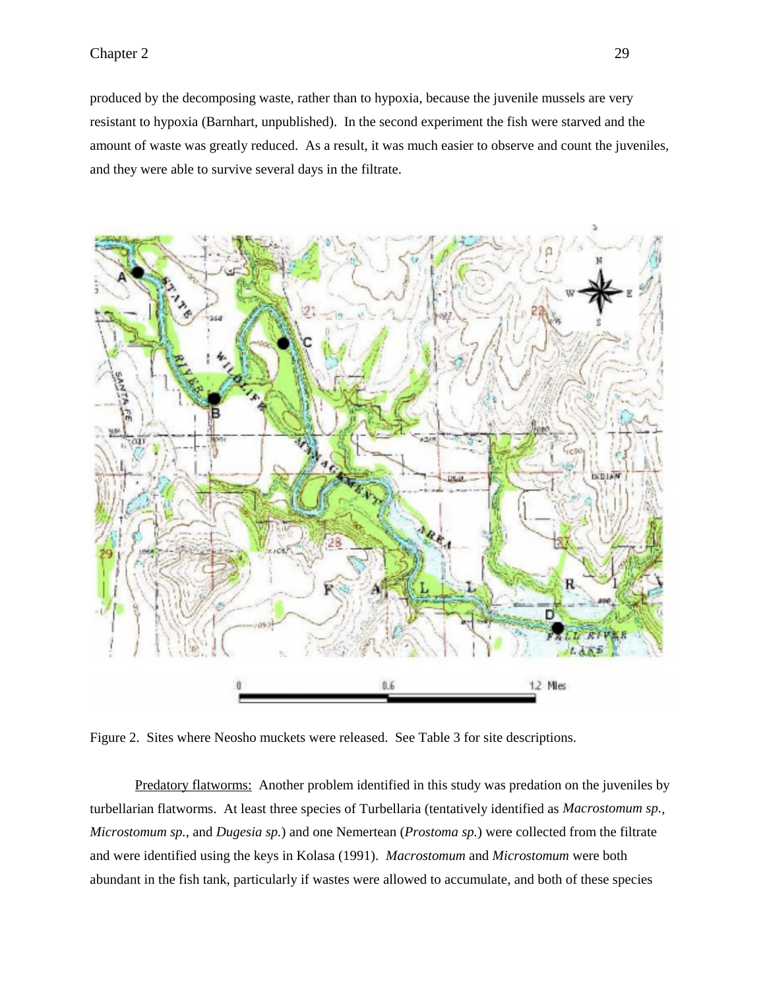produced by the decomposing waste, rather than to hypoxia, because the juvenile mussels are very resistant to hypoxia (Barnhart, unpublished). In the second experiment the fish were starved and the amount of waste was greatly reduced. As a result, it was much easier to observe and count the juveniles, and they were able to survive several days in the filtrate.



Figure 2. Sites where Neosho muckets were released. See Table 3 for site descriptions.

Predatory flatworms: Another problem identified in this study was predation on the juveniles by turbellarian flatworms. At least three species of Turbellaria (tentatively identified as *Macrostomum sp.*, *Microstomum sp.*, and *Dugesia sp.*) and one Nemertean (*Prostoma sp.*) were collected from the filtrate and were identified using the keys in Kolasa (1991). *Macrostomum* and *Microstomum* were both abundant in the fish tank, particularly if wastes were allowed to accumulate, and both of these species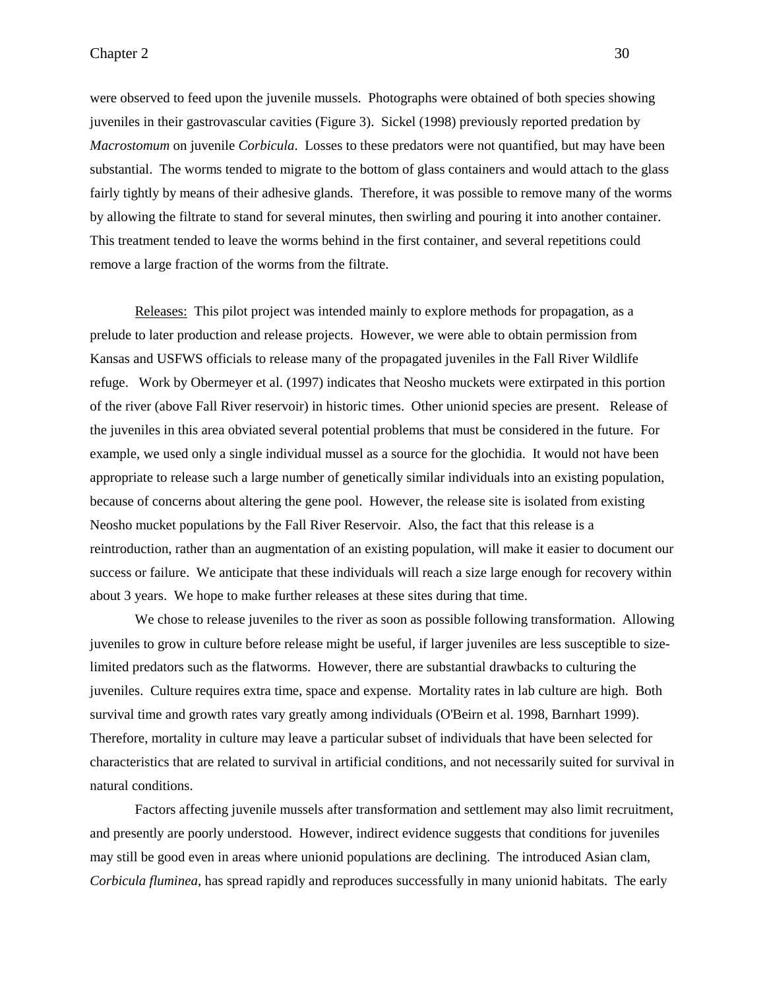were observed to feed upon the juvenile mussels. Photographs were obtained of both species showing juveniles in their gastrovascular cavities (Figure 3). Sickel (1998) previously reported predation by *Macrostomum* on juvenile *Corbicula*. Losses to these predators were not quantified, but may have been substantial. The worms tended to migrate to the bottom of glass containers and would attach to the glass fairly tightly by means of their adhesive glands. Therefore, it was possible to remove many of the worms by allowing the filtrate to stand for several minutes, then swirling and pouring it into another container. This treatment tended to leave the worms behind in the first container, and several repetitions could remove a large fraction of the worms from the filtrate.

Releases: This pilot project was intended mainly to explore methods for propagation, as a prelude to later production and release projects. However, we were able to obtain permission from Kansas and USFWS officials to release many of the propagated juveniles in the Fall River Wildlife refuge. Work by Obermeyer et al. (1997) indicates that Neosho muckets were extirpated in this portion of the river (above Fall River reservoir) in historic times. Other unionid species are present. Release of the juveniles in this area obviated several potential problems that must be considered in the future. For example, we used only a single individual mussel as a source for the glochidia. It would not have been appropriate to release such a large number of genetically similar individuals into an existing population, because of concerns about altering the gene pool. However, the release site is isolated from existing Neosho mucket populations by the Fall River Reservoir. Also, the fact that this release is a reintroduction, rather than an augmentation of an existing population, will make it easier to document our success or failure. We anticipate that these individuals will reach a size large enough for recovery within about 3 years. We hope to make further releases at these sites during that time.

We chose to release juveniles to the river as soon as possible following transformation. Allowing juveniles to grow in culture before release might be useful, if larger juveniles are less susceptible to sizelimited predators such as the flatworms. However, there are substantial drawbacks to culturing the juveniles. Culture requires extra time, space and expense. Mortality rates in lab culture are high. Both survival time and growth rates vary greatly among individuals (O'Beirn et al. 1998, Barnhart 1999). Therefore, mortality in culture may leave a particular subset of individuals that have been selected for characteristics that are related to survival in artificial conditions, and not necessarily suited for survival in natural conditions.

Factors affecting juvenile mussels after transformation and settlement may also limit recruitment, and presently are poorly understood. However, indirect evidence suggests that conditions for juveniles may still be good even in areas where unionid populations are declining. The introduced Asian clam, *Corbicula fluminea*, has spread rapidly and reproduces successfully in many unionid habitats. The early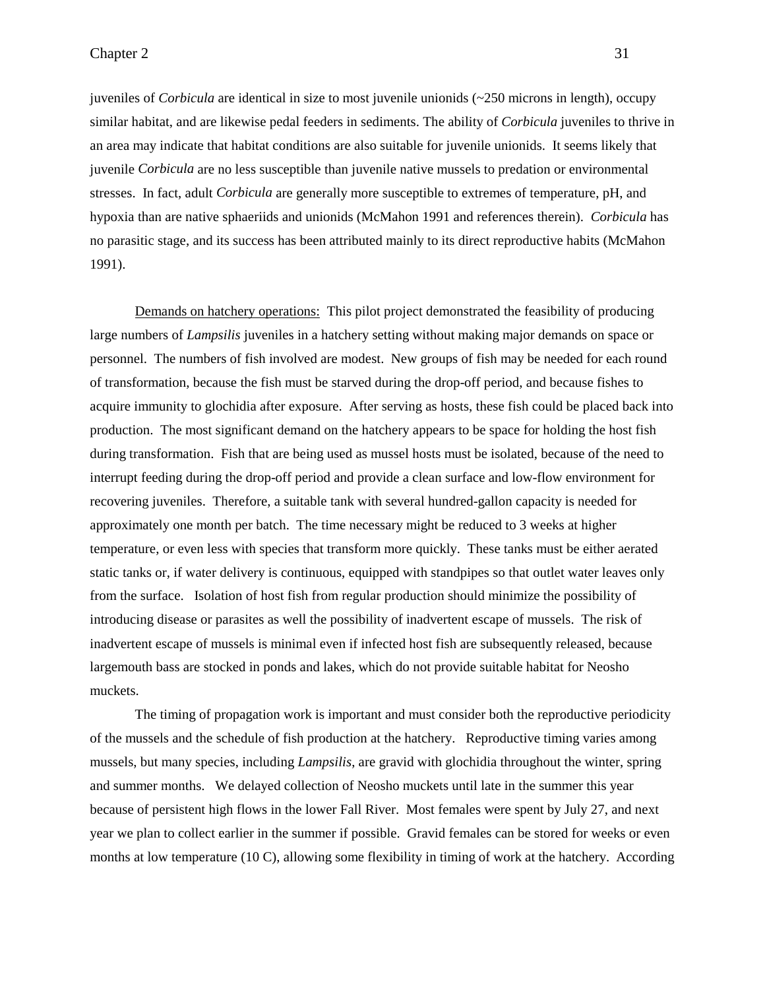juveniles of *Corbicula* are identical in size to most juvenile unionids (~250 microns in length), occupy similar habitat, and are likewise pedal feeders in sediments. The ability of *Corbicula* juveniles to thrive in an area may indicate that habitat conditions are also suitable for juvenile unionids. It seems likely that juvenile *Corbicula* are no less susceptible than juvenile native mussels to predation or environmental stresses. In fact, adult *Corbicula* are generally more susceptible to extremes of temperature, pH, and hypoxia than are native sphaeriids and unionids (McMahon 1991 and references therein). *Corbicula* has no parasitic stage, and its success has been attributed mainly to its direct reproductive habits (McMahon 1991).

 Demands on hatchery operations: This pilot project demonstrated the feasibility of producing large numbers of *Lampsilis* juveniles in a hatchery setting without making major demands on space or personnel. The numbers of fish involved are modest. New groups of fish may be needed for each round of transformation, because the fish must be starved during the drop-off period, and because fishes to acquire immunity to glochidia after exposure. After serving as hosts, these fish could be placed back into production. The most significant demand on the hatchery appears to be space for holding the host fish during transformation. Fish that are being used as mussel hosts must be isolated, because of the need to interrupt feeding during the drop-off period and provide a clean surface and low-flow environment for recovering juveniles. Therefore, a suitable tank with several hundred-gallon capacity is needed for approximately one month per batch. The time necessary might be reduced to 3 weeks at higher temperature, or even less with species that transform more quickly. These tanks must be either aerated static tanks or, if water delivery is continuous, equipped with standpipes so that outlet water leaves only from the surface. Isolation of host fish from regular production should minimize the possibility of introducing disease or parasites as well the possibility of inadvertent escape of mussels. The risk of inadvertent escape of mussels is minimal even if infected host fish are subsequently released, because largemouth bass are stocked in ponds and lakes, which do not provide suitable habitat for Neosho muckets.

The timing of propagation work is important and must consider both the reproductive periodicity of the mussels and the schedule of fish production at the hatchery. Reproductive timing varies among mussels, but many species, including *Lampsilis*, are gravid with glochidia throughout the winter, spring and summer months. We delayed collection of Neosho muckets until late in the summer this year because of persistent high flows in the lower Fall River. Most females were spent by July 27, and next year we plan to collect earlier in the summer if possible. Gravid females can be stored for weeks or even months at low temperature (10 C), allowing some flexibility in timing of work at the hatchery. According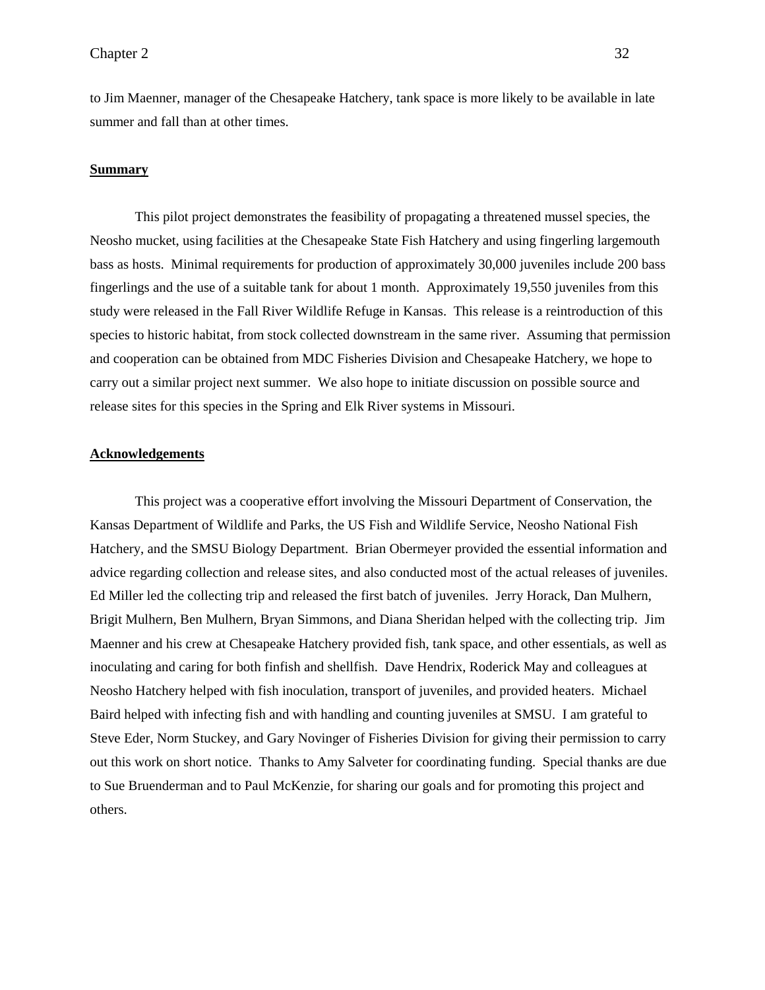to Jim Maenner, manager of the Chesapeake Hatchery, tank space is more likely to be available in late summer and fall than at other times.

#### **Summary**

This pilot project demonstrates the feasibility of propagating a threatened mussel species, the Neosho mucket, using facilities at the Chesapeake State Fish Hatchery and using fingerling largemouth bass as hosts. Minimal requirements for production of approximately 30,000 juveniles include 200 bass fingerlings and the use of a suitable tank for about 1 month. Approximately 19,550 juveniles from this study were released in the Fall River Wildlife Refuge in Kansas. This release is a reintroduction of this species to historic habitat, from stock collected downstream in the same river. Assuming that permission and cooperation can be obtained from MDC Fisheries Division and Chesapeake Hatchery, we hope to carry out a similar project next summer. We also hope to initiate discussion on possible source and release sites for this species in the Spring and Elk River systems in Missouri.

# **Acknowledgements**

This project was a cooperative effort involving the Missouri Department of Conservation, the Kansas Department of Wildlife and Parks, the US Fish and Wildlife Service, Neosho National Fish Hatchery, and the SMSU Biology Department. Brian Obermeyer provided the essential information and advice regarding collection and release sites, and also conducted most of the actual releases of juveniles. Ed Miller led the collecting trip and released the first batch of juveniles. Jerry Horack, Dan Mulhern, Brigit Mulhern, Ben Mulhern, Bryan Simmons, and Diana Sheridan helped with the collecting trip. Jim Maenner and his crew at Chesapeake Hatchery provided fish, tank space, and other essentials, as well as inoculating and caring for both finfish and shellfish. Dave Hendrix, Roderick May and colleagues at Neosho Hatchery helped with fish inoculation, transport of juveniles, and provided heaters. Michael Baird helped with infecting fish and with handling and counting juveniles at SMSU. I am grateful to Steve Eder, Norm Stuckey, and Gary Novinger of Fisheries Division for giving their permission to carry out this work on short notice. Thanks to Amy Salveter for coordinating funding. Special thanks are due to Sue Bruenderman and to Paul McKenzie, for sharing our goals and for promoting this project and others.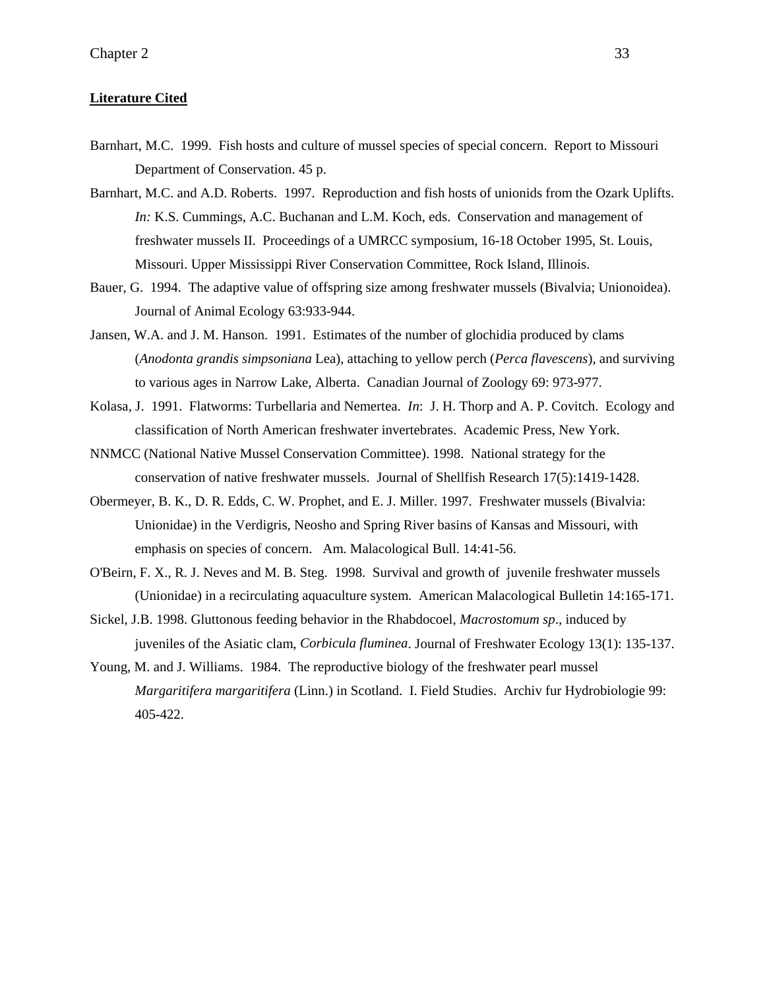#### **Literature Cited**

- Barnhart, M.C. 1999. Fish hosts and culture of mussel species of special concern. Report to Missouri Department of Conservation. 45 p.
- Barnhart, M.C. and A.D. Roberts. 1997. Reproduction and fish hosts of unionids from the Ozark Uplifts. *In:* K.S. Cummings, A.C. Buchanan and L.M. Koch, eds. Conservation and management of freshwater mussels II. Proceedings of a UMRCC symposium, 16-18 October 1995, St. Louis, Missouri. Upper Mississippi River Conservation Committee, Rock Island, Illinois.
- Bauer, G. 1994. The adaptive value of offspring size among freshwater mussels (Bivalvia; Unionoidea). Journal of Animal Ecology 63:933-944.
- Jansen, W.A. and J. M. Hanson. 1991. Estimates of the number of glochidia produced by clams (*Anodonta grandis simpsoniana* Lea), attaching to yellow perch (*Perca flavescens*), and surviving to various ages in Narrow Lake, Alberta. Canadian Journal of Zoology 69: 973-977.
- Kolasa, J. 1991. Flatworms: Turbellaria and Nemertea. *In*: J. H. Thorp and A. P. Covitch. Ecology and classification of North American freshwater invertebrates. Academic Press, New York.
- NNMCC (National Native Mussel Conservation Committee). 1998. National strategy for the conservation of native freshwater mussels. Journal of Shellfish Research 17(5):1419-1428.
- Obermeyer, B. K., D. R. Edds, C. W. Prophet, and E. J. Miller. 1997. Freshwater mussels (Bivalvia: Unionidae) in the Verdigris, Neosho and Spring River basins of Kansas and Missouri, with emphasis on species of concern. Am. Malacological Bull. 14:41-56.
- O'Beirn, F. X., R. J. Neves and M. B. Steg. 1998. Survival and growth of juvenile freshwater mussels (Unionidae) in a recirculating aquaculture system. American Malacological Bulletin 14:165-171.
- Sickel, J.B. 1998. Gluttonous feeding behavior in the Rhabdocoel*, Macrostomum sp*., induced by juveniles of the Asiatic clam, *Corbicula fluminea*. Journal of Freshwater Ecology 13(1): 135-137.
- Young, M. and J. Williams. 1984. The reproductive biology of the freshwater pearl mussel *Margaritifera margaritifera* (Linn.) in Scotland. I. Field Studies. Archiv fur Hydrobiologie 99: 405-422.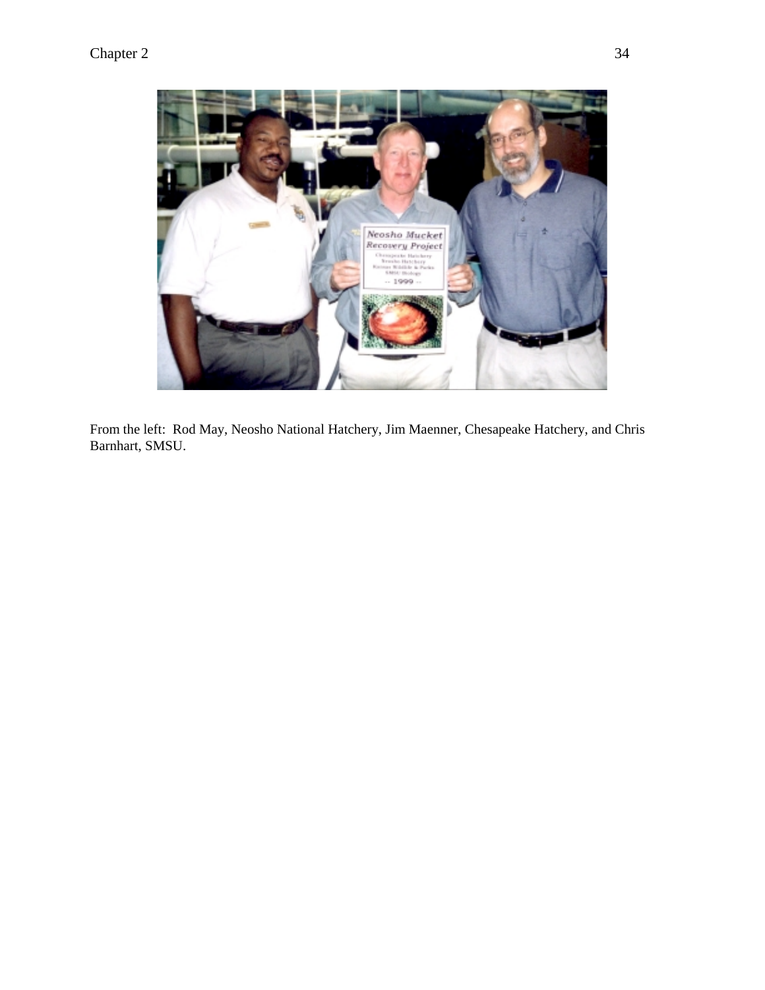

From the left: Rod May, Neosho National Hatchery, Jim Maenner, Chesapeake Hatchery, and Chris Barnhart, SMSU.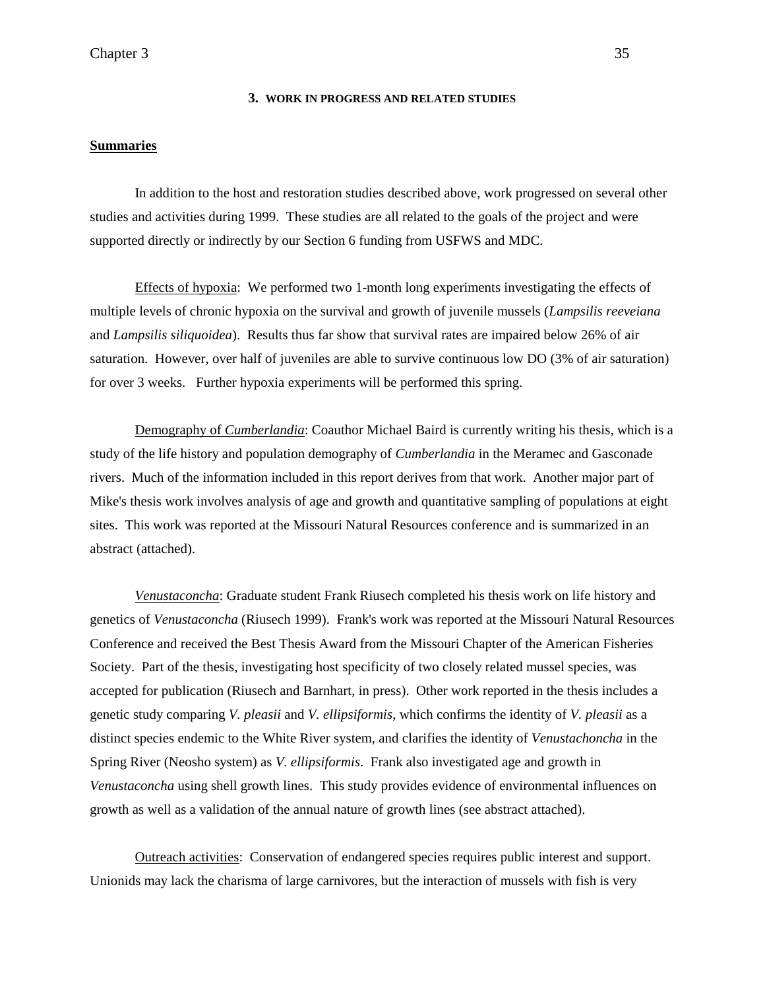#### **3. WORK IN PROGRESS AND RELATED STUDIES**

#### **Summaries**

 In addition to the host and restoration studies described above, work progressed on several other studies and activities during 1999. These studies are all related to the goals of the project and were supported directly or indirectly by our Section 6 funding from USFWS and MDC.

Effects of hypoxia: We performed two 1-month long experiments investigating the effects of multiple levels of chronic hypoxia on the survival and growth of juvenile mussels (*Lampsilis reeveiana*  and *Lampsilis siliquoidea*). Results thus far show that survival rates are impaired below 26% of air saturation. However, over half of juveniles are able to survive continuous low DO (3% of air saturation) for over 3 weeks. Further hypoxia experiments will be performed this spring.

Demography of *Cumberlandia*: Coauthor Michael Baird is currently writing his thesis, which is a study of the life history and population demography of *Cumberlandia* in the Meramec and Gasconade rivers. Much of the information included in this report derives from that work. Another major part of Mike's thesis work involves analysis of age and growth and quantitative sampling of populations at eight sites. This work was reported at the Missouri Natural Resources conference and is summarized in an abstract (attached).

*Venustaconcha*: Graduate student Frank Riusech completed his thesis work on life history and genetics of *Venustaconcha* (Riusech 1999). Frank's work was reported at the Missouri Natural Resources Conference and received the Best Thesis Award from the Missouri Chapter of the American Fisheries Society. Part of the thesis, investigating host specificity of two closely related mussel species, was accepted for publication (Riusech and Barnhart, in press). Other work reported in the thesis includes a genetic study comparing *V. pleasii* and *V. ellipsiformis*, which confirms the identity of *V. pleasii* as a distinct species endemic to the White River system, and clarifies the identity of *Venustachoncha* in the Spring River (Neosho system) as *V. ellipsiformis*. Frank also investigated age and growth in *Venustaconcha* using shell growth lines. This study provides evidence of environmental influences on growth as well as a validation of the annual nature of growth lines (see abstract attached).

 Outreach activities: Conservation of endangered species requires public interest and support. Unionids may lack the charisma of large carnivores, but the interaction of mussels with fish is very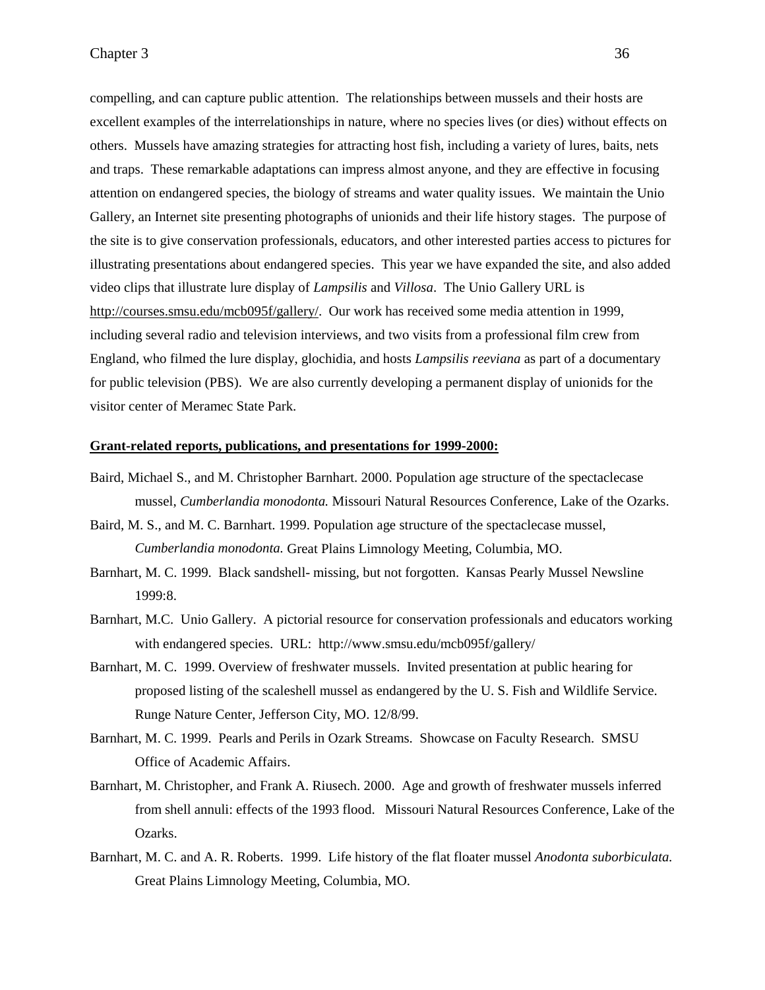compelling, and can capture public attention. The relationships between mussels and their hosts are excellent examples of the interrelationships in nature, where no species lives (or dies) without effects on others. Mussels have amazing strategies for attracting host fish, including a variety of lures, baits, nets and traps. These remarkable adaptations can impress almost anyone, and they are effective in focusing attention on endangered species, the biology of streams and water quality issues. We maintain the Unio Gallery, an Internet site presenting photographs of unionids and their life history stages. The purpose of the site is to give conservation professionals, educators, and other interested parties access to pictures for illustrating presentations about endangered species. This year we have expanded the site, and also added video clips that illustrate lure display of *Lampsilis* and *Villosa*. The Unio Gallery URL is http://courses.smsu.edu/mcb095f/gallery/. Our work has received some media attention in 1999, including several radio and television interviews, and two visits from a professional film crew from England, who filmed the lure display, glochidia, and hosts *Lampsilis reeviana* as part of a documentary for public television (PBS). We are also currently developing a permanent display of unionids for the visitor center of Meramec State Park.

#### **Grant-related reports, publications, and presentations for 1999-2000:**

- Baird, Michael S., and M. Christopher Barnhart. 2000. Population age structure of the spectaclecase mussel, *Cumberlandia monodonta.* Missouri Natural Resources Conference, Lake of the Ozarks.
- Baird, M. S., and M. C. Barnhart. 1999. Population age structure of the spectaclecase mussel, *Cumberlandia monodonta.* Great Plains Limnology Meeting, Columbia, MO.
- Barnhart, M. C. 1999. Black sandshell- missing, but not forgotten. Kansas Pearly Mussel Newsline 1999:8.
- Barnhart, M.C. Unio Gallery. A pictorial resource for conservation professionals and educators working with endangered species. URL: http://www.smsu.edu/mcb095f/gallery/
- Barnhart, M. C. 1999. Overview of freshwater mussels. Invited presentation at public hearing for proposed listing of the scaleshell mussel as endangered by the U. S. Fish and Wildlife Service. Runge Nature Center, Jefferson City, MO. 12/8/99.
- Barnhart, M. C. 1999. Pearls and Perils in Ozark Streams. Showcase on Faculty Research. SMSU Office of Academic Affairs.
- Barnhart, M. Christopher, and Frank A. Riusech. 2000. Age and growth of freshwater mussels inferred from shell annuli: effects of the 1993 flood. Missouri Natural Resources Conference, Lake of the Ozarks.
- Barnhart, M. C. and A. R. Roberts. 1999. Life history of the flat floater mussel *Anodonta suborbiculata.* Great Plains Limnology Meeting, Columbia, MO.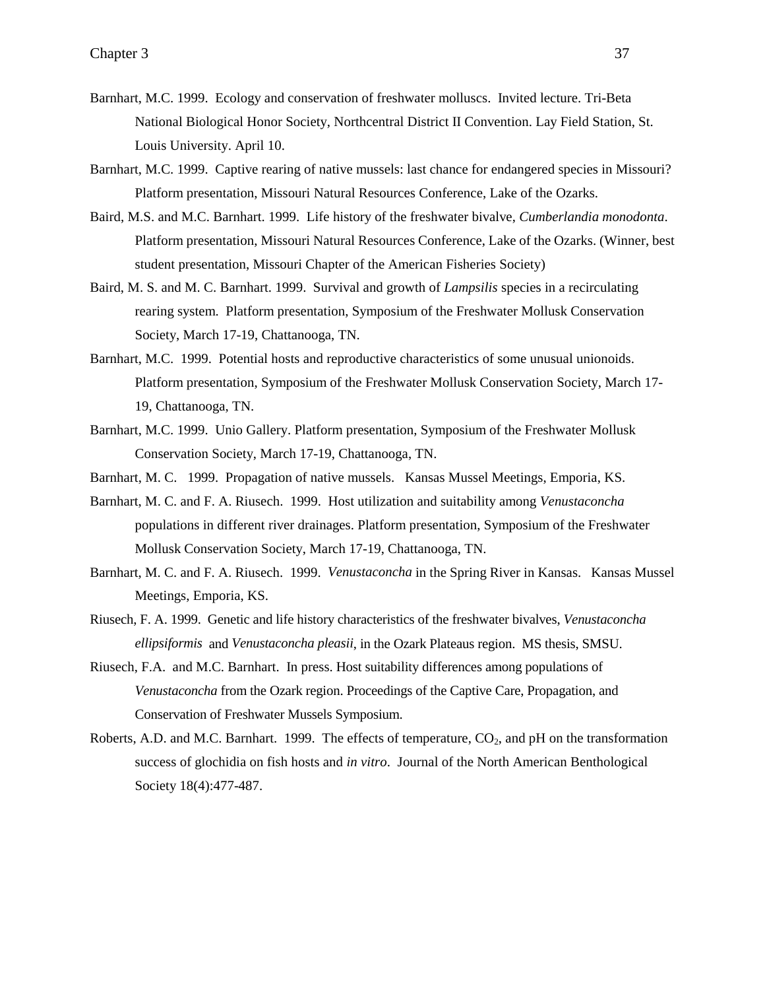- Barnhart, M.C. 1999. Ecology and conservation of freshwater molluscs. Invited lecture. Tri-Beta National Biological Honor Society, Northcentral District II Convention. Lay Field Station, St. Louis University. April 10.
- Barnhart, M.C. 1999. Captive rearing of native mussels: last chance for endangered species in Missouri? Platform presentation, Missouri Natural Resources Conference, Lake of the Ozarks.
- Baird, M.S. and M.C. Barnhart. 1999. Life history of the freshwater bivalve, *Cumberlandia monodonta*. Platform presentation, Missouri Natural Resources Conference, Lake of the Ozarks. (Winner, best student presentation, Missouri Chapter of the American Fisheries Society)
- Baird, M. S. and M. C. Barnhart. 1999. Survival and growth of *Lampsilis* species in a recirculating rearing system. Platform presentation, Symposium of the Freshwater Mollusk Conservation Society, March 17-19, Chattanooga, TN.
- Barnhart, M.C. 1999. Potential hosts and reproductive characteristics of some unusual unionoids. Platform presentation, Symposium of the Freshwater Mollusk Conservation Society, March 17- 19, Chattanooga, TN.
- Barnhart, M.C. 1999. Unio Gallery. Platform presentation, Symposium of the Freshwater Mollusk Conservation Society, March 17-19, Chattanooga, TN.
- Barnhart, M. C. 1999. Propagation of native mussels. Kansas Mussel Meetings, Emporia, KS.
- Barnhart, M. C. and F. A. Riusech. 1999. Host utilization and suitability among *Venustaconcha*  populations in different river drainages. Platform presentation, Symposium of the Freshwater Mollusk Conservation Society, March 17-19, Chattanooga, TN.
- Barnhart, M. C. and F. A. Riusech. 1999. *Venustaconcha* in the Spring River in Kansas. Kansas Mussel Meetings, Emporia, KS.
- Riusech, F. A. 1999. Genetic and life history characteristics of the freshwater bivalves, *Venustaconcha ellipsiformis* and *Venustaconcha pleasii*, in the Ozark Plateaus region. MS thesis, SMSU.
- Riusech, F.A. and M.C. Barnhart. In press. Host suitability differences among populations of *Venustaconcha* from the Ozark region. Proceedings of the Captive Care, Propagation, and Conservation of Freshwater Mussels Symposium.
- Roberts, A.D. and M.C. Barnhart. 1999. The effects of temperature,  $CO_2$ , and pH on the transformation success of glochidia on fish hosts and *in vitro*. Journal of the North American Benthological Society 18(4):477-487.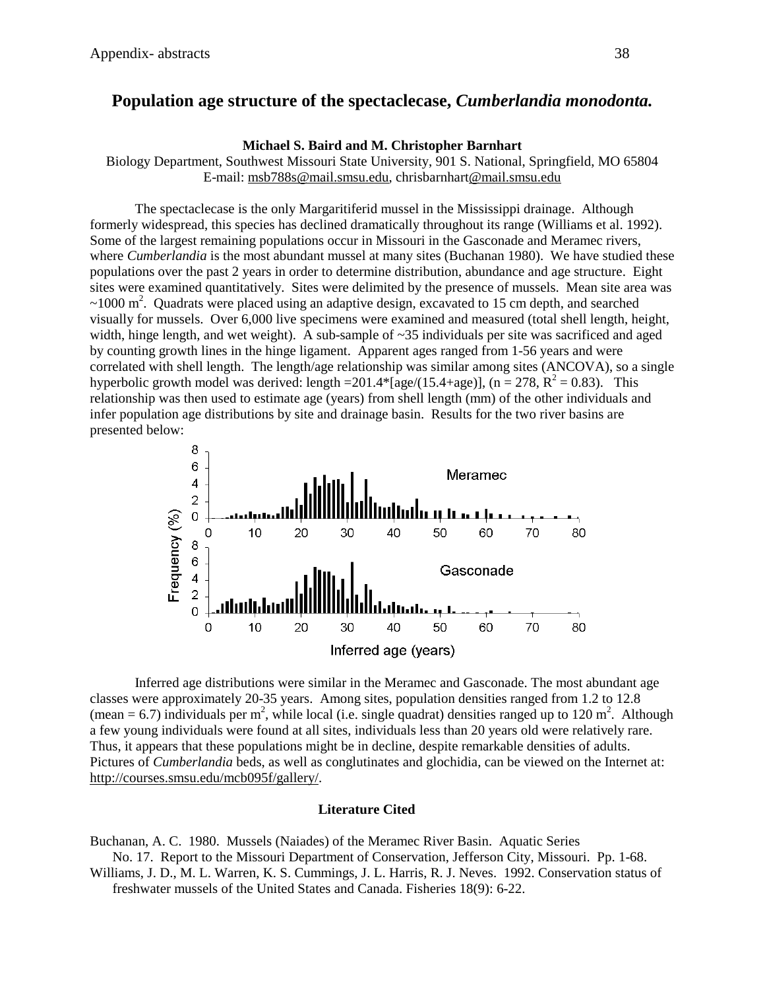# **Population age structure of the spectaclecase,** *Cumberlandia monodonta.*

## **Michael S. Baird and M. Christopher Barnhart**

Biology Department, Southwest Missouri State University, 901 S. National, Springfield, MO 65804 E-mail: msb788s@mail.smsu.edu, chrisbarnhart@mail.smsu.edu

The spectaclecase is the only Margaritiferid mussel in the Mississippi drainage. Although formerly widespread, this species has declined dramatically throughout its range (Williams et al. 1992). Some of the largest remaining populations occur in Missouri in the Gasconade and Meramec rivers, where *Cumberlandia* is the most abundant mussel at many sites (Buchanan 1980). We have studied these populations over the past 2 years in order to determine distribution, abundance and age structure. Eight sites were examined quantitatively. Sites were delimited by the presence of mussels. Mean site area was  $\sim$ 1000 m<sup>2</sup>. Quadrats were placed using an adaptive design, excavated to 15 cm depth, and searched visually for mussels. Over 6,000 live specimens were examined and measured (total shell length, height, width, hinge length, and wet weight). A sub-sample of  $\sim$ 35 individuals per site was sacrificed and aged by counting growth lines in the hinge ligament. Apparent ages ranged from 1-56 years and were correlated with shell length. The length/age relationship was similar among sites (ANCOVA), so a single hyperbolic growth model was derived: length = 201.4\* [age/(15.4+age)], (n = 278,  $R^2 = 0.83$ ). This relationship was then used to estimate age (years) from shell length (mm) of the other individuals and infer population age distributions by site and drainage basin. Results for the two river basins are presented below:



Inferred age distributions were similar in the Meramec and Gasconade. The most abundant age classes were approximately 20-35 years. Among sites, population densities ranged from 1.2 to 12.8 (mean = 6.7) individuals per m<sup>2</sup>, while local (i.e. single quadrat) densities ranged up to 120 m<sup>2</sup>. Although a few young individuals were found at all sites, individuals less than 20 years old were relatively rare. Thus, it appears that these populations might be in decline, despite remarkable densities of adults. Pictures of *Cumberlandia* beds, as well as conglutinates and glochidia, can be viewed on the Internet at: http://courses.smsu.edu/mcb095f/gallery/.

#### **Literature Cited**

Buchanan, A. C. 1980. Mussels (Naiades) of the Meramec River Basin. Aquatic Series No. 17. Report to the Missouri Department of Conservation, Jefferson City, Missouri. Pp. 1-68.

Williams, J. D., M. L. Warren, K. S. Cummings, J. L. Harris, R. J. Neves. 1992. Conservation status of freshwater mussels of the United States and Canada. Fisheries 18(9): 6-22.